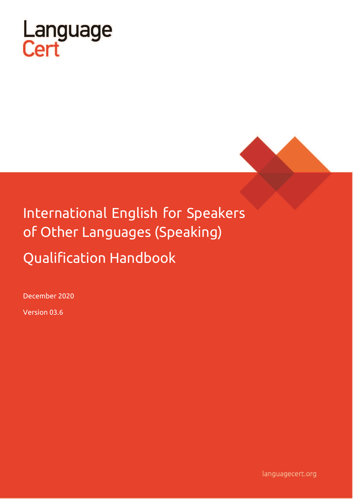



# International English for Speakers of Other Languages (Speaking)

Qualification Handbook

December 2020

Version 03.6

languagecert.org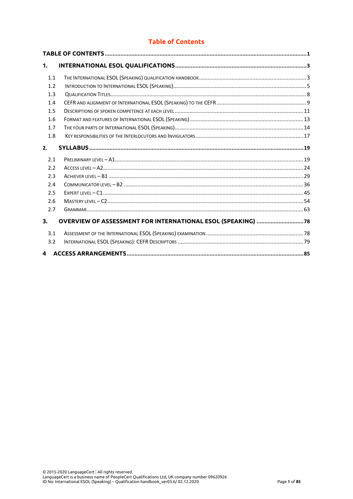# **Table of Contents**

<span id="page-1-0"></span>

| 1.  |                                                              |  |
|-----|--------------------------------------------------------------|--|
| 1.1 |                                                              |  |
| 1.2 |                                                              |  |
| 1.3 |                                                              |  |
| 1.4 |                                                              |  |
| 1.5 |                                                              |  |
| 1.6 |                                                              |  |
| 1.7 |                                                              |  |
| 1.8 |                                                              |  |
| 2.  |                                                              |  |
| 2.1 |                                                              |  |
| 2.2 |                                                              |  |
| 2.3 |                                                              |  |
| 2.4 |                                                              |  |
| 2.5 |                                                              |  |
| 2.6 |                                                              |  |
| 2.7 |                                                              |  |
| 3.  | OVERVIEW OF ASSESSMENT FOR INTERNATIONAL ESOL (SPEAKING)  78 |  |
| 3.1 |                                                              |  |
| 3.2 |                                                              |  |
| 4   |                                                              |  |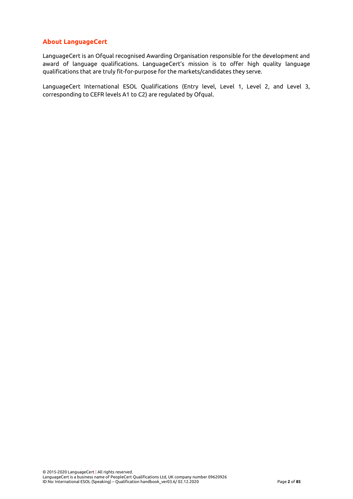# **About LanguageCert**

LanguageCert is an Ofqual recognised Awarding Organisation responsible for the development and award of language qualifications. LanguageCert's mission is to offer high quality language qualifications that are truly fit-for-purpose for the markets/candidates they serve.

LanguageCert International ESOL Qualifications (Entry level, Level 1, Level 2, and Level 3, corresponding to CEFR levels A1 to C2) are regulated by Ofqual.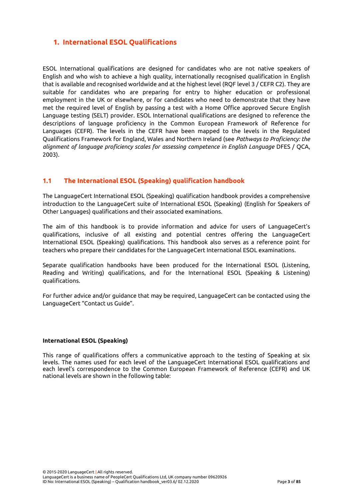# <span id="page-3-0"></span>**1. International ESOL Qualifications**

ESOL International qualifications are designed for candidates who are not native speakers of English and who wish to achieve a high quality, internationally recognised qualification in English that is available and recognised worldwide and at the highest level (RQF level 3 / CEFR C2). They are suitable for candidates who are preparing for entry to higher education or professional employment in the UK or elsewhere, or for candidates who need to demonstrate that they have met the required level of English by passing a test with a Home Office approved Secure English Language testing (SELT) provider. ESOL International qualifications are designed to reference the descriptions of language proficiency in the Common European Framework of Reference for Languages (CEFR). The levels in the CEFR have been mapped to the levels in the Regulated Qualifications Framework for England, Wales and Northern Ireland (see *Pathways to Proficiency: the alignment of language proficiency scales for assessing competence in English Language* DFES / QCA, 2003).

# <span id="page-3-1"></span>**1.1 The International ESOL (Speaking) qualification handbook**

The LanguageCert International ESOL (Speaking) qualification handbook provides a comprehensive introduction to the LanguageCert suite of International ESOL (Speaking) (English for Speakers of Other Languages) qualifications and their associated examinations.

The aim of this handbook is to provide information and advice for users of LanguageCert's qualifications, inclusive of all existing and potential centres offering the LanguageCert International ESOL (Speaking) qualifications. This handbook also serves as a reference point for teachers who prepare their candidates for the LanguageCert International ESOL examinations.

Separate qualification handbooks have been produced for the International ESOL (Listening, Reading and Writing) qualifications, and for the International ESOL (Speaking & Listening) qualifications.

For further advice and/or guidance that may be required, LanguageCert can be contacted using the LanguageCert "Contact us Guide".

#### **International ESOL (Speaking)**

This range of qualifications offers a communicative approach to the testing of Speaking at six levels. The names used for each level of the LanguageCert International ESOL qualifications and each level's correspondence to the Common European Framework of Reference (CEFR) and UK national levels are shown in the following table: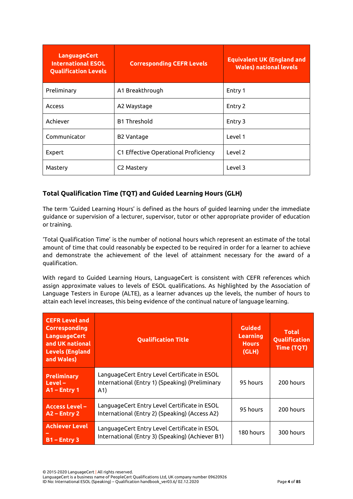| <b>LanguageCert</b><br><b>International ESOL</b><br><b>Qualification Levels</b> | <b>Corresponding CEFR Levels</b>     | <b>Equivalent UK (England and</b><br><b>Wales) national levels</b> |
|---------------------------------------------------------------------------------|--------------------------------------|--------------------------------------------------------------------|
| Preliminary                                                                     | A1 Breakthrough                      | Entry 1                                                            |
| Access                                                                          | A2 Waystage                          | Entry 2                                                            |
| Achiever                                                                        | <b>B1 Threshold</b>                  | Entry 3                                                            |
| Communicator                                                                    | <b>B2 Vantage</b>                    | Level 1                                                            |
| Expert                                                                          | C1 Effective Operational Proficiency | Level 2                                                            |
| Mastery                                                                         | C <sub>2</sub> Mastery               | Level 3                                                            |

# **Total Qualification Time (TQT) and Guided Learning Hours (GLH)**

The term 'Guided Learning Hours' is defined as the hours of guided learning under the immediate guidance or supervision of a lecturer, supervisor, tutor or other appropriate provider of education or training.

'Total Qualification Time' is the number of notional hours which represent an estimate of the total amount of time that could reasonably be expected to be required in order for a learner to achieve and demonstrate the achievement of the level of attainment necessary for the award of a qualification.

With regard to Guided Learning Hours, LanguageCert is consistent with CEFR references which assign approximate values to levels of ESOL qualifications. As highlighted by the Association of Language Testers in Europe (ALTE), as a learner advances up the levels, the number of hours to attain each level increases, this being evidence of the continual nature of language learning.

| <b>CEFR Level and</b><br><b>Corresponding</b><br><b>LanguageCert</b><br>and UK national<br><b>Levels (England</b><br>and Wales) | <b>Qualification Title</b>                                                                              | <b>Guided</b><br>Learning<br><b>Hours</b><br>(GLH) | <b>Total</b><br>Qualification<br><b>Time (TQT)</b> |
|---------------------------------------------------------------------------------------------------------------------------------|---------------------------------------------------------------------------------------------------------|----------------------------------------------------|----------------------------------------------------|
| <b>Preliminary</b><br>$Level -$<br>$A1$ – Entry 1                                                                               | LanguageCert Entry Level Certificate in ESOL<br>International (Entry 1) (Speaking) (Preliminary<br>(A1) | 95 hours                                           | 200 hours                                          |
| <b>Access Level -</b><br>$A2$ – Entry 2                                                                                         | LanguageCert Entry Level Certificate in ESOL<br>International (Entry 2) (Speaking) (Access A2)          | 95 hours                                           | 200 hours                                          |
| <b>Achiever Level</b><br>$B1 -$ Entry 3                                                                                         | LanguageCert Entry Level Certificate in ESOL<br>International (Entry 3) (Speaking) (Achiever B1)        | 180 hours                                          | 300 hours                                          |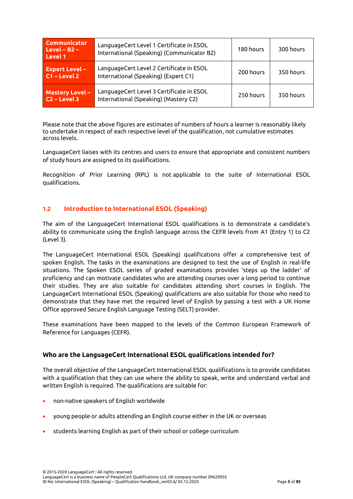| <b>Communicator</b><br>$Level - B2 -$<br>Level 1 | LanguageCert Level 1 Certificate in ESOL<br>International (Speaking) (Communicator B2) | 180 hours | 300 hours |
|--------------------------------------------------|----------------------------------------------------------------------------------------|-----------|-----------|
| <b>Expert Level-</b><br>$C1 - Level 2$           | LanguageCert Level 2 Certificate in ESOL<br>International (Speaking) (Expert C1)       | 200 hours | 350 hours |
| Mastery Level -<br>$C2 - Level 3$                | LanguageCert Level 3 Certificate in ESOL<br>International (Speaking) (Mastery C2)      | 250 hours | 350 hours |

Please note that the above figures are estimates of numbers of hours a learner is reasonably likely to undertake in respect of each respective level of the qualification, not cumulative estimates across levels.

LanguageCert liaises with its centres and users to ensure that appropriate and consistent numbers of study hours are assigned to its qualifications.

Recognition of Prior Learning (RPL) is not applicable to the suite of International ESOL qualifications.

# <span id="page-5-0"></span>**1.2 Introduction to International ESOL (Speaking)**

The aim of the LanguageCert International ESOL qualifications is to demonstrate a candidate's ability to communicate using the English language across the CEFR levels from A1 (Entry 1) to C2 (Level 3).

The LanguageCert International ESOL (Speaking) qualifications offer a comprehensive test of spoken English. The tasks in the examinations are designed to test the use of English in real-life situations. The Spoken ESOL series of graded examinations provides 'steps up the ladder' of proficiency and can motivate candidates who are attending courses over a long period to continue their studies. They are also suitable for candidates attending short courses in English. The LanguageCert International ESOL (Speaking) qualifications are also suitable for those who need to demonstrate that they have met the required level of English by passing a test with a UK Home Office approved Secure English Language Testing (SELT) provider.

These examinations have been mapped to the levels of the Common European Framework of Reference for Languages (CEFR).

# **Who are the LanguageCert International ESOL qualifications intended for?**

The overall objective of the LanguageCert International ESOL qualifications is to provide candidates with a qualification that they can use where the ability to speak, write and understand verbal and written English is required. The qualifications are suitable for:

- non-native speakers of English worldwide
- young people or adults attending an English course either in the UK or overseas
- students learning English as part of their school or college curriculum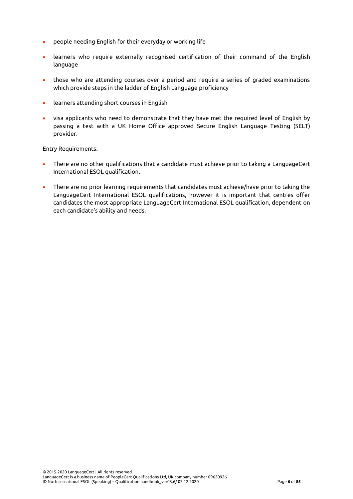- people needing English for their everyday or working life
- learners who require externally recognised certification of their command of the English language
- those who are attending courses over a period and require a series of graded examinations which provide steps in the ladder of English Language proficiency
- learners attending short courses in English
- visa applicants who need to demonstrate that they have met the required level of English by passing a test with a UK Home Office approved Secure English Language Testing (SELT) provider.

Entry Requirements:

- There are no other qualifications that a candidate must achieve prior to taking a LanguageCert International ESOL qualification.
- There are no prior learning requirements that candidates must achieve/have prior to taking the LanguageCert International ESOL qualifications, however it is important that centres offer candidates the most appropriate LanguageCert International ESOL qualification, dependent on each candidate's ability and needs.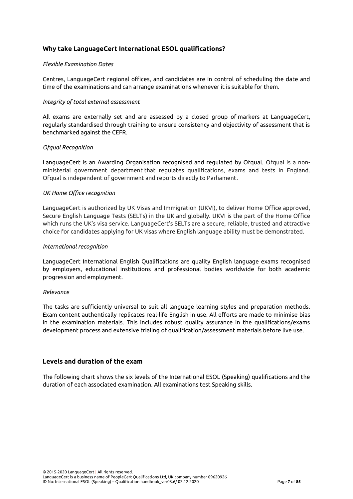# **Why take LanguageCert International ESOL qualifications?**

#### *Flexible Examination Dates*

Centres, LanguageCert regional offices, and candidates are in control of scheduling the date and time of the examinations and can arrange examinations whenever it is suitable for them.

#### *Integrity of total external assessment*

All exams are externally set and are assessed by a closed group of markers at LanguageCert, regularly standardised through training to ensure consistency and objectivity of assessment that is benchmarked against the CEFR.

#### *Ofqual Recognition*

LanguageCert is an Awarding Organisation recognised and regulated by Ofqual. Ofqual is a nonministerial government department that regulates qualifications, exams and tests in England. Ofqual is independent of government and reports directly to Parliament.

#### *UK Home Office recognition*

LanguageCert is authorized by UK Visas and Immigration (UKVI), to deliver Home Office approved, Secure English Language Tests (SELTs) in the UK and globally. UKVI is the part of the Home Office which runs the UK's visa service. LanguageCert's SELTs are a secure, reliable, trusted and attractive choice for candidates applying for UK visas where English language ability must be demonstrated.

#### *International recognition*

LanguageCert International English Qualifications are quality English language exams recognised by employers, educational institutions and professional bodies worldwide for both academic progression and employment.

#### *Relevance*

The tasks are sufficiently universal to suit all language learning styles and preparation methods. Exam content authentically replicates real-life English in use. All efforts are made to minimise bias in the examination materials. This includes robust quality assurance in the qualifications/exams development process and extensive trialing of qualification/assessment materials before live use.

## **Levels and duration of the exam**

The following chart shows the six levels of the International ESOL (Speaking) qualifications and the duration of each associated examination. All examinations test Speaking skills.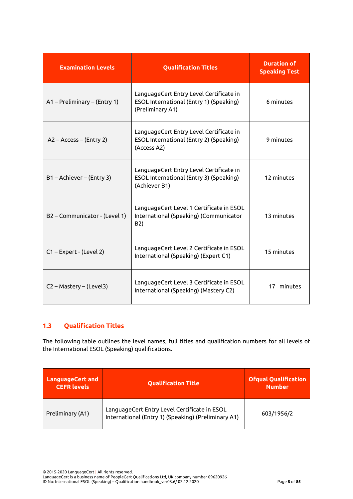| <b>Examination Levels</b>     | <b>Qualification Titles</b>                                                                            | <b>Duration of</b><br><b>Speaking Test</b> |
|-------------------------------|--------------------------------------------------------------------------------------------------------|--------------------------------------------|
| A1 - Preliminary - (Entry 1)  | LanguageCert Entry Level Certificate in<br>ESOL International (Entry 1) (Speaking)<br>(Preliminary A1) | 6 minutes                                  |
| A2 - Access - (Entry 2)       | LanguageCert Entry Level Certificate in<br>ESOL International (Entry 2) (Speaking)<br>(Access A2)      | 9 minutes                                  |
| B1 - Achiever - (Entry 3)     | LanguageCert Entry Level Certificate in<br>ESOL International (Entry 3) (Speaking)<br>(Achiever B1)    | 12 minutes                                 |
| B2 - Communicator - (Level 1) | LanguageCert Level 1 Certificate in ESOL<br>International (Speaking) (Communicator<br>B2)              | 13 minutes                                 |
| C1-Expert - (Level 2)         | LanguageCert Level 2 Certificate in ESOL<br>International (Speaking) (Expert C1)                       | 15 minutes                                 |
| C2 - Mastery - (Level3)       | LanguageCert Level 3 Certificate in ESOL<br>International (Speaking) (Mastery C2)                      | 17 minutes                                 |

# <span id="page-8-0"></span>**1.3 Qualification Titles**

The following table outlines the level names, full titles and qualification numbers for all levels of the International ESOL (Speaking) qualifications.

| <b>LanguageCert and</b><br><b>CEFR levels</b> | <b>Qualification Title</b>                                                                          | <b>Ofqual Qualification</b><br><b>Number</b> |
|-----------------------------------------------|-----------------------------------------------------------------------------------------------------|----------------------------------------------|
| Preliminary (A1)                              | LanguageCert Entry Level Certificate in ESOL<br>International (Entry 1) (Speaking) (Preliminary A1) | 603/1956/2                                   |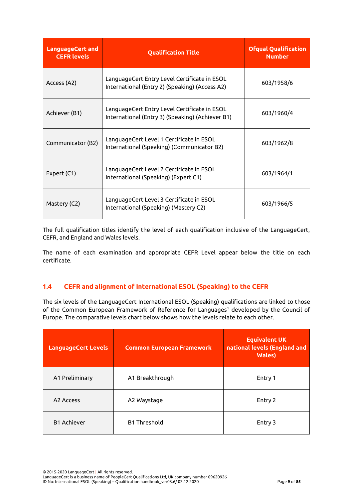| <b>LanguageCert and</b><br><b>CEFR levels</b> | <b>Qualification Title</b>                                                                       | <b>Ofqual Qualification</b><br><b>Number</b> |
|-----------------------------------------------|--------------------------------------------------------------------------------------------------|----------------------------------------------|
| Access (A2)                                   | LanguageCert Entry Level Certificate in ESOL<br>International (Entry 2) (Speaking) (Access A2)   | 603/1958/6                                   |
| Achiever (B1)                                 | LanguageCert Entry Level Certificate in ESOL<br>International (Entry 3) (Speaking) (Achiever B1) | 603/1960/4                                   |
| Communicator (B2)                             | LanguageCert Level 1 Certificate in ESOL<br>International (Speaking) (Communicator B2)           | 603/1962/8                                   |
| Expert (C1)                                   | LanguageCert Level 2 Certificate in ESOL<br>International (Speaking) (Expert C1)                 | 603/1964/1                                   |
| Mastery (C2)                                  | LanguageCert Level 3 Certificate in ESOL<br>International (Speaking) (Mastery C2)                | 603/1966/5                                   |

The full qualification titles identify the level of each qualification inclusive of the LanguageCert, CEFR, and England and Wales levels.

The name of each examination and appropriate CEFR Level appear below the title on each certificate.

# <span id="page-9-0"></span>**1.4 CEFR and alignment of International ESOL (Speaking) to the CEFR**

The six levels of the LanguageCert International ESOL (Speaking) qualifications are linked to those of the Common European Framework of Reference for Languages<sup>1</sup> developed by the Council of Europe. The comparative levels chart below shows how the levels relate to each other.

| <b>LanguageCert Levels</b> | <b>Common European Framework</b> | <b>Equivalent UK</b><br>national levels (England and<br><b>Wales</b> ) |
|----------------------------|----------------------------------|------------------------------------------------------------------------|
| A1 Preliminary             | A1 Breakthrough                  | Entry 1                                                                |
| A <sub>2</sub> Access      | A2 Waystage                      | Entry 2                                                                |
| <b>B1 Achiever</b>         | <b>B1 Threshold</b>              | Entry 3                                                                |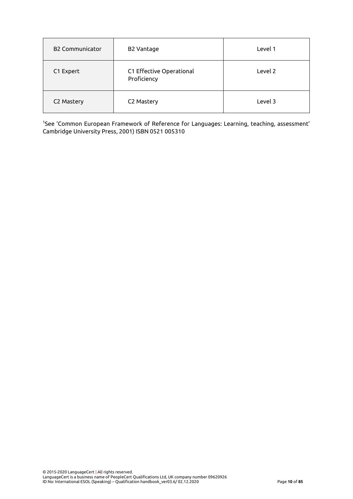| <b>B2 Communicator</b> | <b>B2 Vantage</b>                       | Level 1 |
|------------------------|-----------------------------------------|---------|
| C1 Expert              | C1 Effective Operational<br>Proficiency | Level 2 |
| C2 Mastery             | C2 Mastery                              | Level 3 |

<sup>1</sup>See 'Common European Framework of Reference for Languages: Learning, teaching, assessment' Cambridge University Press, 2001) ISBN 0521 005310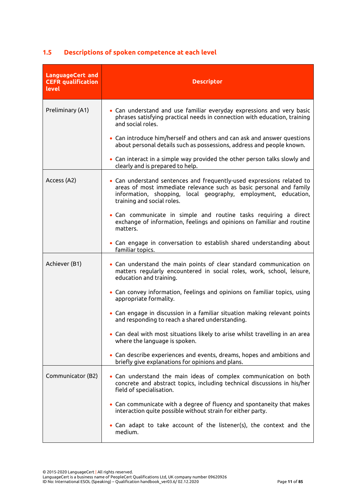| <b>LanguageCert and</b><br><b>CEFR</b> qualification<br>level | <b>Descriptor</b>                                                                                                                                                                                                                            |
|---------------------------------------------------------------|----------------------------------------------------------------------------------------------------------------------------------------------------------------------------------------------------------------------------------------------|
| Preliminary (A1)                                              | • Can understand and use familiar everyday expressions and very basic<br>phrases satisfying practical needs in connection with education, training<br>and social roles.                                                                      |
|                                                               | • Can introduce him/herself and others and can ask and answer questions<br>about personal details such as possessions, address and people known.                                                                                             |
|                                                               | • Can interact in a simple way provided the other person talks slowly and<br>clearly and is prepared to help.                                                                                                                                |
| Access (A2)                                                   | • Can understand sentences and frequently-used expressions related to<br>areas of most immediate relevance such as basic personal and family<br>information, shopping, local geography, employment, education,<br>training and social roles. |
|                                                               | . Can communicate in simple and routine tasks requiring a direct<br>exchange of information, feelings and opinions on familiar and routine<br>matters.                                                                                       |
|                                                               | • Can engage in conversation to establish shared understanding about<br>familiar topics.                                                                                                                                                     |
| Achiever (B1)                                                 | • Can understand the main points of clear standard communication on<br>matters regularly encountered in social roles, work, school, leisure,<br>education and training.                                                                      |
|                                                               | • Can convey information, feelings and opinions on familiar topics, using<br>appropriate formality.                                                                                                                                          |
|                                                               | • Can engage in discussion in a familiar situation making relevant points<br>and responding to reach a shared understanding.                                                                                                                 |
|                                                               | • Can deal with most situations likely to arise whilst travelling in an area<br>where the language is spoken.                                                                                                                                |
|                                                               | • Can describe experiences and events, dreams, hopes and ambitions and<br>briefly give explanations for opinions and plans.                                                                                                                  |
| Communicator (B2)                                             | • Can understand the main ideas of complex communication on both<br>concrete and abstract topics, including technical discussions in his/her<br>field of specialisation.                                                                     |
|                                                               | • Can communicate with a degree of fluency and spontaneity that makes<br>interaction quite possible without strain for either party.                                                                                                         |
|                                                               | • Can adapt to take account of the listener(s), the context and the<br>medium.                                                                                                                                                               |

# <span id="page-11-0"></span>**1.5 Descriptions of spoken competence at each level**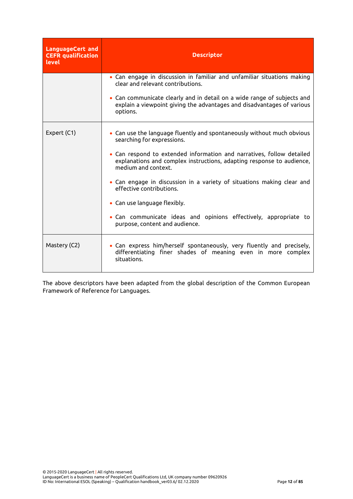| <b>LanguageCert and</b><br><b>CEFR</b> qualification<br><b>level</b> | <b>Descriptor</b>                                                                                                                                                     |  |
|----------------------------------------------------------------------|-----------------------------------------------------------------------------------------------------------------------------------------------------------------------|--|
|                                                                      | • Can engage in discussion in familiar and unfamiliar situations making<br>clear and relevant contributions.                                                          |  |
|                                                                      | • Can communicate clearly and in detail on a wide range of subjects and<br>explain a viewpoint giving the advantages and disadvantages of various<br>options.         |  |
| Expert (C1)                                                          | • Can use the language fluently and spontaneously without much obvious<br>searching for expressions.                                                                  |  |
|                                                                      | • Can respond to extended information and narratives, follow detailed<br>explanations and complex instructions, adapting response to audience,<br>medium and context. |  |
|                                                                      | • Can engage in discussion in a variety of situations making clear and<br>effective contributions.                                                                    |  |
|                                                                      | • Can use language flexibly.                                                                                                                                          |  |
|                                                                      | • Can communicate ideas and opinions effectively, appropriate to<br>purpose, content and audience.                                                                    |  |
| Mastery (C2)                                                         | • Can express him/herself spontaneously, very fluently and precisely,<br>differentiating finer shades of meaning even in more complex<br>situations.                  |  |

The above descriptors have been adapted from the global description of the Common European Framework of Reference for Languages.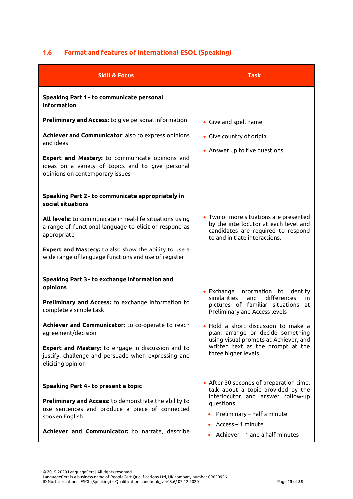# <span id="page-13-0"></span>**1.6 Format and features of International ESOL (Speaking)**

| <b>Skill &amp; Focus</b>                                                                                                                                                                                                                                                                                                                                      | <b>Task</b>                                                                                                                                                                                                                                                                                                                                |
|---------------------------------------------------------------------------------------------------------------------------------------------------------------------------------------------------------------------------------------------------------------------------------------------------------------------------------------------------------------|--------------------------------------------------------------------------------------------------------------------------------------------------------------------------------------------------------------------------------------------------------------------------------------------------------------------------------------------|
| Speaking Part 1 - to communicate personal<br>information                                                                                                                                                                                                                                                                                                      |                                                                                                                                                                                                                                                                                                                                            |
| <b>Preliminary and Access:</b> to give personal information<br>Achiever and Communicator: also to express opinions<br>and ideas<br>Expert and Mastery: to communicate opinions and<br>ideas on a variety of topics and to give personal<br>opinions on contemporary issues                                                                                    | • Give and spell name<br>• Give country of origin<br>• Answer up to five questions                                                                                                                                                                                                                                                         |
| Speaking Part 2 - to communicate appropriately in<br>social situations<br>All levels: to communicate in real-life situations using<br>a range of functional language to elicit or respond as<br>appropriate<br><b>Expert and Mastery:</b> to also show the ability to use a<br>wide range of language functions and use of register                           | • Two or more situations are presented<br>by the interlocutor at each level and<br>candidates are required to respond<br>to and initiate interactions.                                                                                                                                                                                     |
| Speaking Part 3 - to exchange information and<br>opinions<br>Preliminary and Access: to exchange information to<br>complete a simple task<br>Achiever and Communicator: to co-operate to reach<br>agreement/decision<br><b>Expert and Mastery:</b> to engage in discussion and to<br>justify, challenge and persuade when expressing and<br>eliciting opinion | • Exchange information to identify<br>similarities<br>and<br>differences<br>in.<br>pictures of familiar situations<br>at<br>Preliminary and Access levels<br>• Hold a short discussion to make a<br>plan, arrange or decide something<br>using visual prompts at Achiever, and<br>written text as the prompt at the<br>three higher levels |
| Speaking Part 4 - to present a topic<br>Preliminary and Access: to demonstrate the ability to<br>use sentences and produce a piece of connected<br>spoken English<br>Achiever and Communicator: to narrate, describe                                                                                                                                          | • After 30 seconds of preparation time,<br>talk about a topic provided by the<br>interlocutor and answer follow-up<br>questions<br>Preliminary – half a minute<br>$Access - 1$ minute<br>Achiever - 1 and a half minutes                                                                                                                   |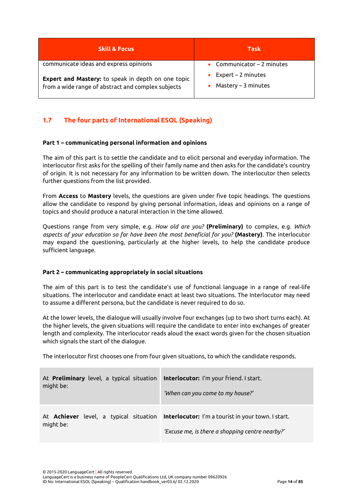| <b>Skill &amp; Focus</b>                                                                                        | <b>Task</b>                                    |
|-----------------------------------------------------------------------------------------------------------------|------------------------------------------------|
| communicate ideas and express opinions                                                                          | Communicator $-2$ minutes                      |
| <b>Expert and Mastery:</b> to speak in depth on one topic<br>from a wide range of abstract and complex subjects | $Expert - 2 minutes$<br>$M$ astery – 3 minutes |

# <span id="page-14-0"></span>**1.7 The four parts of International ESOL (Speaking)**

#### **Part 1 – communicating personal information and opinions**

The aim of this part is to settle the candidate and to elicit personal and everyday information. The interlocutor first asks for the spelling of their family name and then asks for the candidate's country of origin. It is not necessary for any information to be written down. The interlocutor then selects further questions from the list provided.

From **Access** to **Mastery** levels, the questions are given under five topic headings. The questions allow the candidate to respond by giving personal information, ideas and opinions on a range of topics and should produce a natural interaction in the time allowed.

Questions range from very simple, e.g. *How old are you?* **(Preliminary)** to complex, e.g. *Which aspects of your education so far have been the most beneficial for you?* **(Mastery)**. The interlocutor may expand the questioning, particularly at the higher levels, to help the candidate produce sufficient language.

#### **Part 2 – communicating appropriately in social situations**

The aim of this part is to test the candidate's use of functional language in a range of real-life situations. The interlocutor and candidate enact at least two situations. The Interlocutor may need to assume a different persona, but the candidate is never required to do so.

At the lower levels, the dialogue will usually involve four exchanges (up to two short turns each). At the higher levels, the given situations will require the candidate to enter into exchanges of greater length and complexity. The interlocutor reads aloud the exact words given for the chosen situation which signals the start of the dialogue.

The interlocutor first chooses one from four given situations, to which the candidate responds.

| At <b>Preliminary</b> level, a typical situation | Interlocutor: I'm your friend. I start.                                                                                                      |
|--------------------------------------------------|----------------------------------------------------------------------------------------------------------------------------------------------|
| might be:                                        | 'When can you come to my house?'                                                                                                             |
| might be:                                        | At Achiever level, a typical situation Interlocutor: I'm a tourist in your town. I start.<br>'Excuse me, is there a shopping centre nearby?' |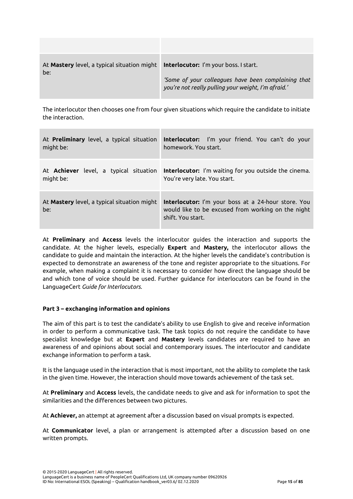| At <b>Mastery</b> level, a typical situation might<br>be: | Interlocutor: I'm your boss. I start.<br>'Some of your colleagues have been complaining that<br>you're not really pulling your weight, I'm afraid.' |
|-----------------------------------------------------------|-----------------------------------------------------------------------------------------------------------------------------------------------------|

The interlocutor then chooses one from four given situations which require the candidate to initiate the interaction.

| At Preliminary level, a typical situation                 | <b>Interlocutor:</b> I'm your friend. You can't do your                                                                               |
|-----------------------------------------------------------|---------------------------------------------------------------------------------------------------------------------------------------|
| might be:                                                 | homework. You start.                                                                                                                  |
| At <b>Achiever</b> level, a typical situation             | <b>Interlocutor:</b> I'm waiting for you outside the cinema.                                                                          |
| might be:                                                 | You're very late. You start.                                                                                                          |
| At <b>Mastery</b> level, a typical situation might<br>be: | <b>Interlocutor:</b> I'm your boss at a 24-hour store. You<br>would like to be excused from working on the night<br>shift. You start. |

At **Preliminary** and **Access** levels the interlocutor guides the interaction and supports the candidate. At the higher levels, especially **Expert** and **Mastery,** the interlocutor allows the candidate to guide and maintain the interaction. At the higher levels the candidate's contribution is expected to demonstrate an awareness of the tone and register appropriate to the situations. For example, when making a complaint it is necessary to consider how direct the language should be and which tone of voice should be used. Further guidance for interlocutors can be found in the LanguageCert *Guide for Interlocutors.*

#### **Part 3 – exchanging information and opinions**

The aim of this part is to test the candidate's ability to use English to give and receive information in order to perform a communicative task. The task topics do not require the candidate to have specialist knowledge but at **Expert** and **Mastery** levels candidates are required to have an awareness of and opinions about social and contemporary issues. The interlocutor and candidate exchange information to perform a task.

It is the language used in the interaction that is most important, not the ability to complete the task in the given time. However, the interaction should move towards achievement of the task set.

At **Preliminary** and **Access** levels, the candidate needs to give and ask for information to spot the similarities and the differences between two pictures.

At **Achiever,** an attempt at agreement after a discussion based on visual prompts is expected.

At **Communicator** level, a plan or arrangement is attempted after a discussion based on one written prompts.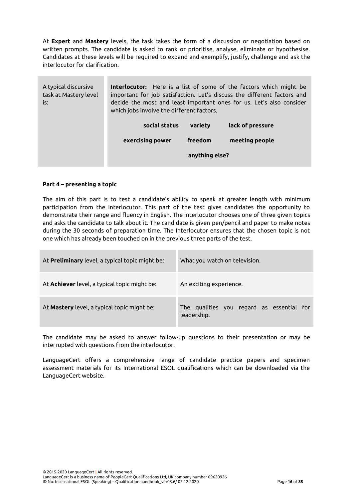At **Expert** and **Mastery** levels, the task takes the form of a discussion or negotiation based on written prompts. The candidate is asked to rank or prioritise, analyse, eliminate or hypothesise. Candidates at these levels will be required to expand and exemplify, justify, challenge and ask the interlocutor for clarification.

| A typical discursive<br>task at Mastery level<br>is: | <b>Interlocutor:</b> Here is a list of some of the factors which might be<br>important for job satisfaction. Let's discuss the different factors and<br>decide the most and least important ones for us. Let's also consider<br>which jobs involve the different factors. |                |                  |
|------------------------------------------------------|---------------------------------------------------------------------------------------------------------------------------------------------------------------------------------------------------------------------------------------------------------------------------|----------------|------------------|
|                                                      | social status                                                                                                                                                                                                                                                             | variety        | lack of pressure |
|                                                      | exercising power                                                                                                                                                                                                                                                          | freedom        | meeting people   |
|                                                      |                                                                                                                                                                                                                                                                           | anything else? |                  |

#### **Part 4 – presenting a topic**

The aim of this part is to test a candidate's ability to speak at greater length with minimum participation from the interlocutor. This part of the test gives candidates the opportunity to demonstrate their range and fluency in English. The interlocutor chooses one of three given topics and asks the candidate to talk about it. The candidate is given pen/pencil and paper to make notes during the 30 seconds of preparation time. The Interlocutor ensures that the chosen topic is not one which has already been touched on in the previous three parts of the test.

| At Preliminary level, a typical topic might be:     | What you watch on television.                            |
|-----------------------------------------------------|----------------------------------------------------------|
| At <b>Achiever</b> level, a typical topic might be: | An exciting experience.                                  |
| At Mastery level, a typical topic might be:         | The qualities you regard as essential for<br>leadership. |

The candidate may be asked to answer follow-up questions to their presentation or may be interrupted with questions from the interlocutor.

LanguageCert offers a comprehensive range of candidate practice papers and specimen assessment materials for its International ESOL qualifications which can be downloaded via the LanguageCert website.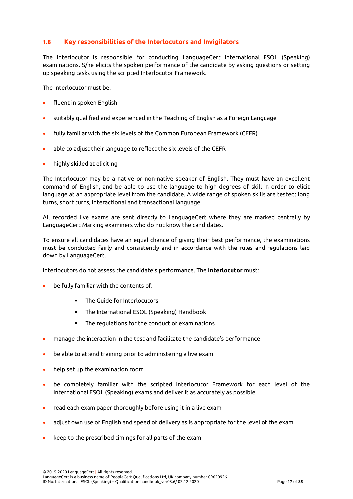# <span id="page-17-0"></span>**1.8 Key responsibilities of the Interlocutors and Invigilators**

The Interlocutor is responsible for conducting LanguageCert International ESOL (Speaking) examinations. S/he elicits the spoken performance of the candidate by asking questions or setting up speaking tasks using the scripted Interlocutor Framework.

The Interlocutor must be:

- fluent in spoken English
- suitably qualified and experienced in the Teaching of English as a Foreign Language
- fully familiar with the six levels of the Common European Framework (CEFR)
- able to adjust their language to reflect the six levels of the CEFR
- highly skilled at eliciting

The Interlocutor may be a native or non-native speaker of English. They must have an excellent command of English, and be able to use the language to high degrees of skill in order to elicit language at an appropriate level from the candidate. A wide range of spoken skills are tested: long turns, short turns, interactional and transactional language.

All recorded live exams are sent directly to LanguageCert where they are marked centrally by LanguageCert Marking examiners who do not know the candidates.

To ensure all candidates have an equal chance of giving their best performance, the examinations must be conducted fairly and consistently and in accordance with the rules and regulations laid down by LanguageCert.

Interlocutors do not assess the candidate's performance. The **Interlocutor** must:

- be fully familiar with the contents of:
	- The Guide for Interlocutors
	- The International ESOL (Speaking) Handbook
	- The regulations for the conduct of examinations
- manage the interaction in the test and facilitate the candidate's performance
- be able to attend training prior to administering a live exam
- help set up the examination room
- be completely familiar with the scripted Interlocutor Framework for each level of the International ESOL (Speaking) exams and deliver it as accurately as possible
- read each exam paper thoroughly before using it in a live exam
- adjust own use of English and speed of delivery as is appropriate for the level of the exam
- keep to the prescribed timings for all parts of the exam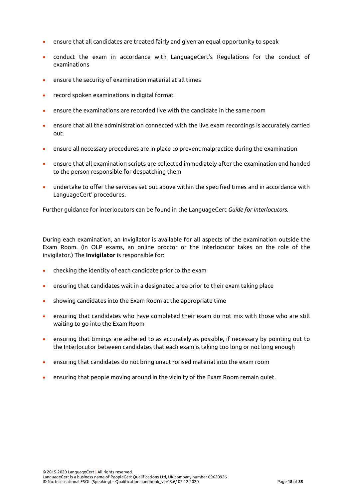- ensure that all candidates are treated fairly and given an equal opportunity to speak
- conduct the exam in accordance with LanguageCert's Regulations for the conduct of examinations
- ensure the security of examination material at all times
- record spoken examinations in digital format
- ensure the examinations are recorded live with the candidate in the same room
- ensure that all the administration connected with the live exam recordings is accurately carried out.
- ensure all necessary procedures are in place to prevent malpractice during the examination
- ensure that all examination scripts are collected immediately after the examination and handed to the person responsible for despatching them
- undertake to offer the services set out above within the specified times and in accordance with LanguageCert' procedures.

Further guidance for interlocutors can be found in the LanguageCert *Guide for Interlocutors.*

During each examination, an Invigilator is available for all aspects of the examination outside the Exam Room. (In OLP exams, an online proctor or the interlocutor takes on the role of the invigilator.) The **Invigilator** is responsible for:

- checking the identity of each candidate prior to the exam
- ensuring that candidates wait in a designated area prior to their exam taking place
- showing candidates into the Exam Room at the appropriate time
- ensuring that candidates who have completed their exam do not mix with those who are still waiting to go into the Exam Room
- ensuring that timings are adhered to as accurately as possible, if necessary by pointing out to the Interlocutor between candidates that each exam is taking too long or not long enough
- ensuring that candidates do not bring unauthorised material into the exam room
- ensuring that people moving around in the vicinity of the Exam Room remain quiet.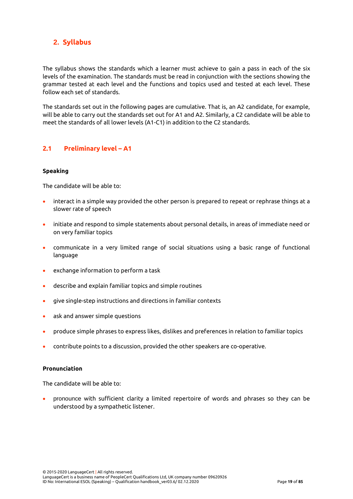# <span id="page-19-0"></span>**2. Syllabus**

The syllabus shows the standards which a learner must achieve to gain a pass in each of the six levels of the examination. The standards must be read in conjunction with the sections showing the grammar tested at each level and the functions and topics used and tested at each level. These follow each set of standards.

The standards set out in the following pages are cumulative. That is, an A2 candidate, for example, will be able to carry out the standards set out for A1 and A2. Similarly, a C2 candidate will be able to meet the standards of all lower levels (A1-C1) in addition to the C2 standards.

## <span id="page-19-1"></span>**2.1 Preliminary level – A1**

#### **Speaking**

The candidate will be able to:

- interact in a simple way provided the other person is prepared to repeat or rephrase things at a slower rate of speech
- initiate and respond to simple statements about personal details, in areas of immediate need or on very familiar topics
- communicate in a very limited range of social situations using a basic range of functional language
- exchange information to perform a task
- describe and explain familiar topics and simple routines
- give single-step instructions and directions in familiar contexts
- ask and answer simple questions
- produce simple phrases to express likes, dislikes and preferences in relation to familiar topics
- contribute points to a discussion, provided the other speakers are co-operative.

#### **Pronunciation**

The candidate will be able to:

• pronounce with sufficient clarity a limited repertoire of words and phrases so they can be understood by a sympathetic listener.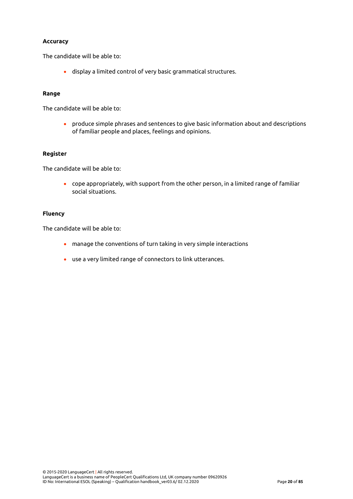#### **Accuracy**

The candidate will be able to:

• display a limited control of very basic grammatical structures.

#### **Range**

The candidate will be able to:

• produce simple phrases and sentences to give basic information about and descriptions of familiar people and places, feelings and opinions.

#### **Register**

The candidate will be able to:

• cope appropriately, with support from the other person, in a limited range of familiar social situations.

#### **Fluency**

The candidate will be able to:

- manage the conventions of turn taking in very simple interactions
- use a very limited range of connectors to link utterances.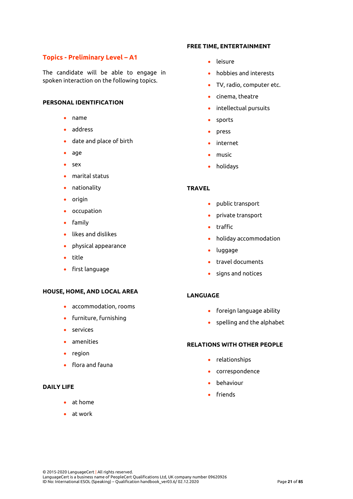# **Topics - Preliminary Level – A1**

The candidate will be able to engage in spoken interaction on the following topics.

#### **PERSONAL IDENTIFICATION**

- name
- address
- date and place of birth
- age
- sex
- marital status
- nationality
- origin
- occupation
- family
- likes and dislikes
- physical appearance
- title
- first language

#### **HOUSE, HOME, AND LOCAL AREA**

- accommodation, rooms
- furniture, furnishing
- services
- amenities
- region
- flora and fauna

## **DAILY LIFE**

- at home
- at work

#### **FREE TIME, ENTERTAINMENT**

- leisure
- hobbies and interests
- TV, radio, computer etc.
- cinema, theatre
- intellectual pursuits
- sports
- press
- internet
- music
- holidays

#### **TRAVEL**

- public transport
- private transport
- traffic
- holiday accommodation
- luggage
- travel documents
- signs and notices

## **LANGUAGE**

- foreign language ability
- spelling and the alphabet

#### **RELATIONS WITH OTHER PEOPLE**

- relationships
- correspondence
- behaviour
- friends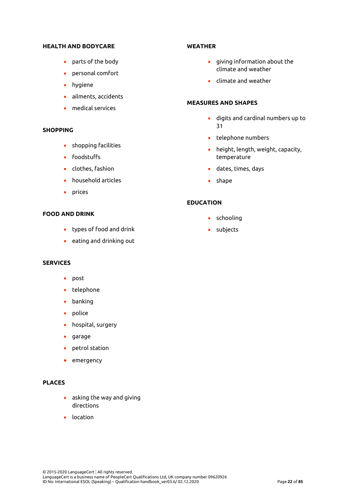#### **HEALTH AND BODYCARE**

- parts of the body
- personal comfort
- hygiene
- ailments, accidents
- medical services

#### **SHOPPING**

- shopping facilities
- foodstuffs
- clothes, fashion
- household articles
- prices

## **FOOD AND DRINK**

- types of food and drink
- eating and drinking out

#### **SERVICES**

- post
- telephone
- banking
- police
- hospital, surgery
- garage
- petrol station
- emergency

## **PLACES**

- asking the way and giving directions
- location

#### **WEATHER**

- giving information about the climate and weather
- climate and weather

#### **MEASURES AND SHAPES**

- digits and cardinal numbers up to 31
- telephone numbers
- height, length, weight, capacity, temperature
- dates, times, days
- shape

#### **EDUCATION**

- schooling
- subjects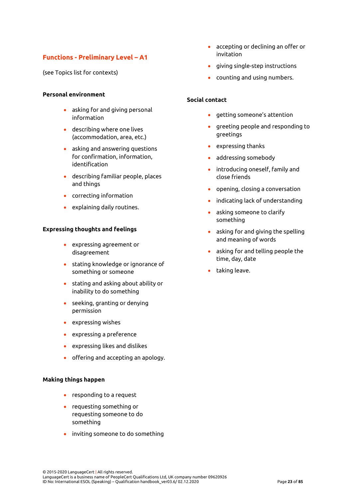# **Functions - Preliminary Level – A1**

(see Topics list for contexts)

#### **Personal environment**

- asking for and giving personal information
- describing where one lives (accommodation, area, etc.)
- asking and answering questions for confirmation, information, identification
- describing familiar people, places and things
- correcting information
- explaining daily routines.

#### **Expressing thoughts and feelings**

- expressing agreement or disagreement
- stating knowledge or ignorance of something or someone
- stating and asking about ability or inability to do something
- seeking, granting or denying permission
- expressing wishes
- expressing a preference
- expressing likes and dislikes
- offering and accepting an apology.

#### **Making things happen**

- responding to a request
- requesting something or requesting someone to do something
- inviting someone to do something
- accepting or declining an offer or invitation
- giving single-step instructions
- counting and using numbers.

#### **Social contact**

- getting someone's attention
- greeting people and responding to greetings
- expressing thanks
- addressing somebody
- introducing oneself, family and close friends
- opening, closing a conversation
- indicating lack of understanding
- asking someone to clarify something
- asking for and giving the spelling and meaning of words
- asking for and telling people the time, day, date
- taking leave.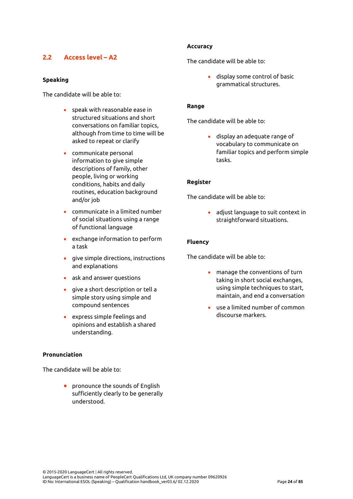# <span id="page-24-0"></span>**2.2 Access level – A2**

#### **Speaking**

The candidate will be able to:

- speak with reasonable ease in structured situations and short conversations on familiar topics, although from time to time will be asked to repeat or clarify
- communicate personal information to give simple descriptions of family, other people, living or working conditions, habits and daily routines, education background and/or job
- communicate in a limited number of social situations using a range of functional language
- exchange information to perform a task
- give simple directions, instructions and explanations
- ask and answer questions
- give a short description or tell a simple story using simple and compound sentences
- express simple feelings and opinions and establish a shared understanding.

#### **Pronunciation**

The candidate will be able to:

• pronounce the sounds of English sufficiently clearly to be generally understood.

#### **Accuracy**

The candidate will be able to:

• display some control of basic grammatical structures.

#### **Range**

The candidate will be able to:

• display an adequate range of vocabulary to communicate on familiar topics and perform simple tasks.

#### **Register**

The candidate will be able to:

• adjust language to suit context in straightforward situations.

#### **Fluency**

The candidate will be able to:

- manage the conventions of turn taking in short social exchanges, using simple techniques to start, maintain, and end a conversation
- use a limited number of common discourse markers.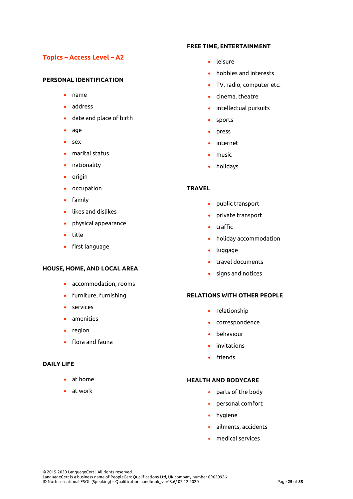# **Topics – Access Level – A2**

#### **PERSONAL IDENTIFICATION**

- name
- address
- date and place of birth
- age
- sex
- marital status
- nationality
- origin
- occupation
- family
- likes and dislikes
- physical appearance
- title
- first language

#### **HOUSE, HOME, AND LOCAL AREA**

- accommodation, rooms
- furniture, furnishing
- services
- amenities
- region
- flora and fauna

#### **DAILY LIFE**

- at home
- at work

#### **FREE TIME, ENTERTAINMENT**

- leisure
- hobbies and interests
- TV, radio, computer etc.
- cinema, theatre
- intellectual pursuits
- sports
- press
- internet
- music
- holidays

#### **TRAVEL**

- public transport
- private transport
- traffic
- holiday accommodation
- luggage
- travel documents
- signs and notices

## **RELATIONS WITH OTHER PEOPLE**

- relationship
- correspondence
- behaviour
- invitations
- friends

#### **HEALTH AND BODYCARE**

- parts of the body
- personal comfort
- hygiene
- ailments, accidents
- medical services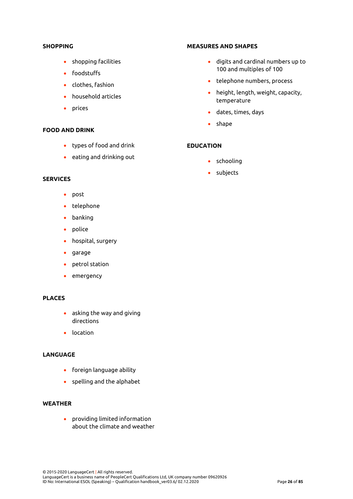#### **SHOPPING**

- shopping facilities
- foodstuffs
- clothes, fashion
- household articles
- prices

#### **FOOD AND DRINK**

- types of food and drink
- eating and drinking out

#### **SERVICES**

- post
- telephone
- banking
- police
- hospital, surgery
- garage
- petrol station
- emergency

#### **PLACES**

- asking the way and giving directions
- location

#### **LANGUAGE**

- foreign language ability
- spelling and the alphabet

#### **WEATHER**

• providing limited information about the climate and weather

#### **MEASURES AND SHAPES**

- digits and cardinal numbers up to 100 and multiples of 100
- telephone numbers, process
- height, length, weight, capacity, temperature
- dates, times, days
- shape

## **EDUCATION**

- schooling
- subjects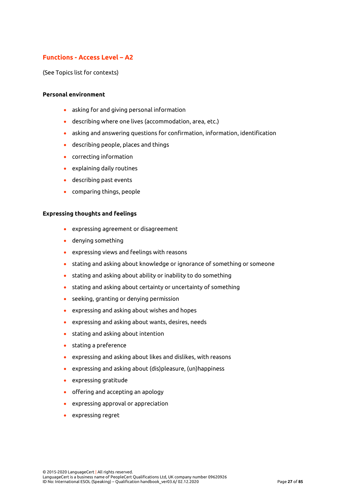# **Functions - Access Level – A2**

(See Topics list for contexts)

#### **Personal environment**

- asking for and giving personal information
- describing where one lives (accommodation, area, etc.)
- asking and answering questions for confirmation, information, identification
- describing people, places and things
- correcting information
- explaining daily routines
- describing past events
- comparing things, people

#### **Expressing thoughts and feelings**

- expressing agreement or disagreement
- denying something
- expressing views and feelings with reasons
- stating and asking about knowledge or ignorance of something or someone
- stating and asking about ability or inability to do something
- stating and asking about certainty or uncertainty of something
- seeking, granting or denying permission
- expressing and asking about wishes and hopes
- expressing and asking about wants, desires, needs
- stating and asking about intention
- stating a preference
- expressing and asking about likes and dislikes, with reasons
- expressing and asking about (dis)pleasure, (un)happiness
- expressing gratitude
- offering and accepting an apology
- expressing approval or appreciation
- expressing regret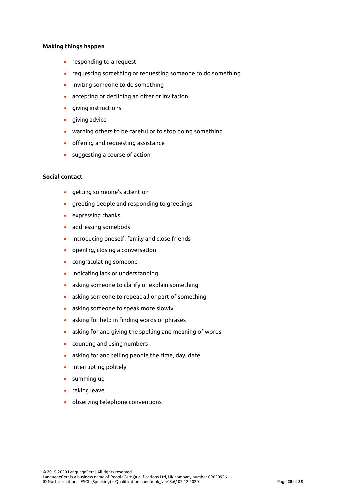#### **Making things happen**

- responding to a request
- requesting something or requesting someone to do something
- inviting someone to do something
- accepting or declining an offer or invitation
- giving instructions
- giving advice
- warning others to be careful or to stop doing something
- offering and requesting assistance
- suggesting a course of action

#### **Social contact**

- getting someone's attention
- greeting people and responding to greetings
- expressing thanks
- addressing somebody
- introducing oneself, family and close friends
- opening, closing a conversation
- congratulating someone
- indicating lack of understanding
- asking someone to clarify or explain something
- asking someone to repeat all or part of something
- asking someone to speak more slowly
- asking for help in finding words or phrases
- asking for and giving the spelling and meaning of words
- counting and using numbers
- asking for and telling people the time, day, date
- interrupting politely
- summing up
- taking leave
- observing telephone conventions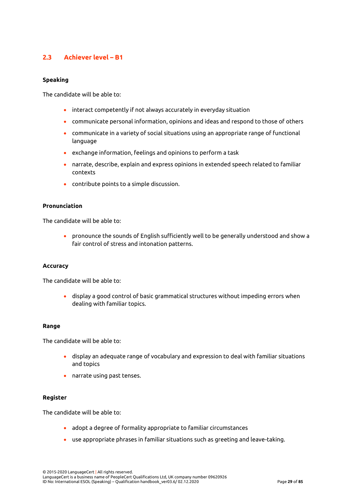# <span id="page-29-0"></span>**2.3 Achiever level – B1**

#### **Speaking**

The candidate will be able to:

- interact competently if not always accurately in everyday situation
- communicate personal information, opinions and ideas and respond to those of others
- communicate in a variety of social situations using an appropriate range of functional language
- exchange information, feelings and opinions to perform a task
- narrate, describe, explain and express opinions in extended speech related to familiar contexts
- contribute points to a simple discussion.

#### **Pronunciation**

The candidate will be able to:

• pronounce the sounds of English sufficiently well to be generally understood and show a fair control of stress and intonation patterns.

#### **Accuracy**

The candidate will be able to:

• display a good control of basic grammatical structures without impeding errors when dealing with familiar topics.

#### **Range**

The candidate will be able to:

- display an adequate range of vocabulary and expression to deal with familiar situations and topics
- narrate using past tenses.

#### **Register**

The candidate will be able to:

- adopt a degree of formality appropriate to familiar circumstances
- use appropriate phrases in familiar situations such as greeting and leave-taking.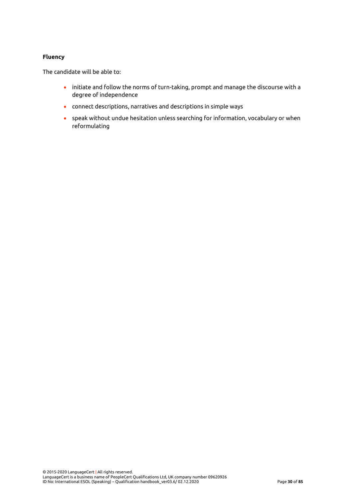#### **Fluency**

The candidate will be able to:

- initiate and follow the norms of turn-taking, prompt and manage the discourse with a degree of independence
- connect descriptions, narratives and descriptions in simple ways
- speak without undue hesitation unless searching for information, vocabulary or when reformulating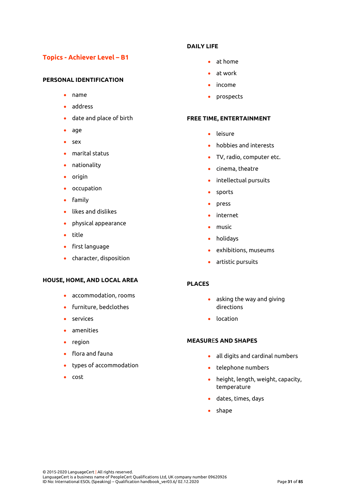# **Topics - Achiever Level – B1**

#### **PERSONAL IDENTIFICATION**

- name
- address
- date and place of birth
- age
- sex
- marital status
- nationality
- origin
- occupation
- family
- likes and dislikes
- physical appearance
- title
- first language
- character, disposition

#### **HOUSE, HOME, AND LOCAL AREA**

- accommodation, rooms
- furniture, bedclothes
- services
- amenities
- region
- flora and fauna
- types of accommodation
- cost

#### **DAILY LIFE**

- at home
- at work
- income
- prospects

#### **FREE TIME, ENTERTAINMENT**

- leisure
- hobbies and interests
- TV, radio, computer etc.
- cinema, theatre
- intellectual pursuits
- sports
- press
- internet
- music
- holidays
- exhibitions, museums
- artistic pursuits

#### **PLACES**

- asking the way and giving directions
- location

#### **MEASUR**E**S AND SHAPES**

- all digits and cardinal numbers
- telephone numbers
- height, length, weight, capacity, temperature
- dates, times, days
- shape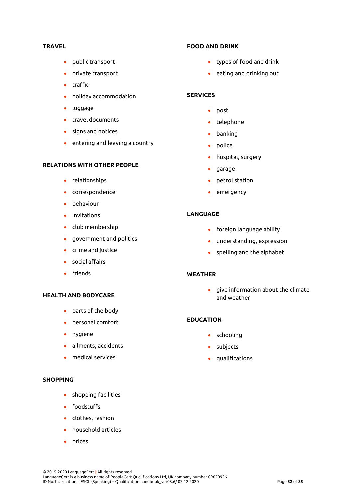#### **TRAVEL**

- public transport
- private transport
- traffic
- holiday accommodation
- luggage
- travel documents
- signs and notices
- entering and leaving a country

#### **RELATIONS WITH OTHER PEOPLE**

- relationships
- correspondence
- behaviour
- invitations
- club membership
- government and politics
- crime and justice
- social affairs
- friends

### **HEALTH AND BODYCARE**

- parts of the body
- personal comfort
- hygiene
- ailments, accidents
- medical services

#### **SHOPPING**

- shopping facilities
- foodstuffs
- clothes, fashion
- household articles
- prices

#### **FOOD AND DRINK**

- types of food and drink
- eating and drinking out

#### **SERVICES**

- post
- telephone
- banking
- police
- hospital, surgery
- garage
- petrol station
- emergency

#### **LANGUAGE**

- foreign language ability
- understanding, expression
- spelling and the alphabet

#### **WEATHER**

• give information about the climate and weather

#### **EDUCATION**

- schooling
- subjects
- qualifications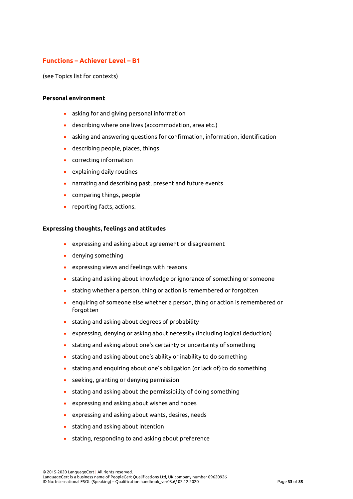# **Functions – Achiever Level – B1**

(see Topics list for contexts)

#### **Personal environment**

- asking for and giving personal information
- describing where one lives (accommodation, area etc.)
- asking and answering questions for confirmation, information, identification
- describing people, places, things
- correcting information
- explaining daily routines
- narrating and describing past, present and future events
- comparing things, people
- reporting facts, actions.

#### **Expressing thoughts, feelings and attitudes**

- expressing and asking about agreement or disagreement
- denying something
- expressing views and feelings with reasons
- stating and asking about knowledge or ignorance of something or someone
- stating whether a person, thing or action is remembered or forgotten
- enquiring of someone else whether a person, thing or action is remembered or forgotten
- stating and asking about degrees of probability
- expressing, denying or asking about necessity (including logical deduction)
- stating and asking about one's certainty or uncertainty of something
- stating and asking about one's ability or inability to do something
- stating and enquiring about one's obligation (or lack of) to do something
- seeking, granting or denying permission
- stating and asking about the permissibility of doing something
- expressing and asking about wishes and hopes
- expressing and asking about wants, desires, needs
- stating and asking about intention
- stating, responding to and asking about preference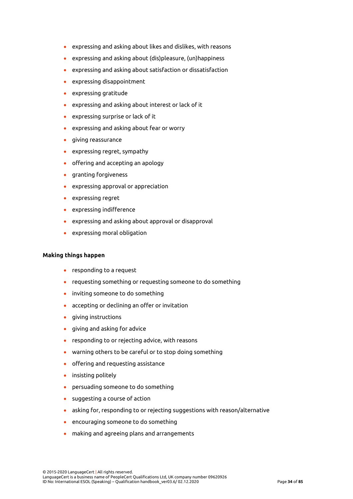- expressing and asking about likes and dislikes, with reasons
- expressing and asking about (dis)pleasure, (un)happiness
- expressing and asking about satisfaction or dissatisfaction
- expressing disappointment
- expressing gratitude
- expressing and asking about interest or lack of it
- expressing surprise or lack of it
- expressing and asking about fear or worry
- giving reassurance
- expressing regret, sympathy
- offering and accepting an apology
- granting forgiveness
- expressing approval or appreciation
- expressing regret
- expressing indifference
- expressing and asking about approval or disapproval
- expressing moral obligation

#### **Making things happen**

- responding to a request
- requesting something or requesting someone to do something
- inviting someone to do something
- accepting or declining an offer or invitation
- giving instructions
- giving and asking for advice
- responding to or rejecting advice, with reasons
- warning others to be careful or to stop doing something
- offering and requesting assistance
- insisting politely
- persuading someone to do something
- suggesting a course of action
- asking for, responding to or rejecting suggestions with reason/alternative
- encouraging someone to do something
- making and agreeing plans and arrangements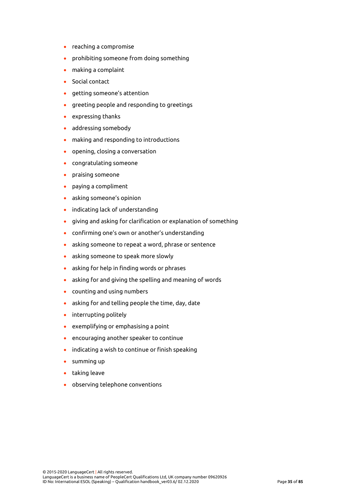- reaching a compromise
- prohibiting someone from doing something
- making a complaint
- Social contact
- getting someone's attention
- greeting people and responding to greetings
- expressing thanks
- addressing somebody
- making and responding to introductions
- opening, closing a conversation
- congratulating someone
- praising someone
- paying a compliment
- asking someone's opinion
- indicating lack of understanding
- giving and asking for clarification or explanation of something
- confirming one's own or another's understanding
- asking someone to repeat a word, phrase or sentence
- asking someone to speak more slowly
- asking for help in finding words or phrases
- asking for and giving the spelling and meaning of words
- counting and using numbers
- asking for and telling people the time, day, date
- interrupting politely
- exemplifying or emphasising a point
- encouraging another speaker to continue
- indicating a wish to continue or finish speaking
- summing up
- taking leave
- observing telephone conventions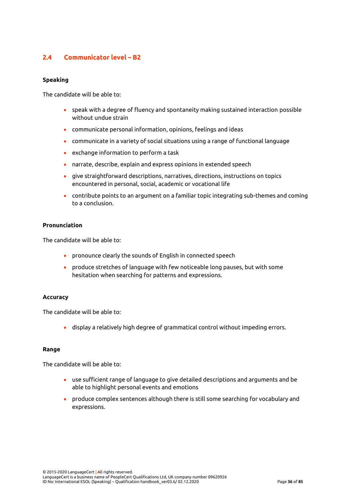# **2.4 Communicator level – B2**

## **Speaking**

The candidate will be able to:

- speak with a degree of fluency and spontaneity making sustained interaction possible without undue strain
- communicate personal information, opinions, feelings and ideas
- communicate in a variety of social situations using a range of functional language
- exchange information to perform a task
- narrate, describe, explain and express opinions in extended speech
- give straightforward descriptions, narratives, directions, instructions on topics encountered in personal, social, academic or vocational life
- contribute points to an argument on a familiar topic integrating sub-themes and coming to a conclusion.

#### **Pronunciation**

The candidate will be able to:

- pronounce clearly the sounds of English in connected speech
- produce stretches of language with few noticeable long pauses, but with some hesitation when searching for patterns and expressions.

## **Accuracy**

The candidate will be able to:

• display a relatively high degree of grammatical control without impeding errors.

#### **Range**

The candidate will be able to:

- use sufficient range of language to give detailed descriptions and arguments and be able to highlight personal events and emotions
- produce complex sentences although there is still some searching for vocabulary and expressions.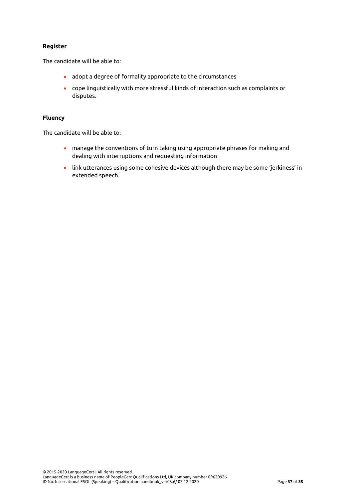## **Register**

The candidate will be able to:

- adopt a degree of formality appropriate to the circumstances
- cope linguistically with more stressful kinds of interaction such as complaints or disputes.

### **Fluency**

The candidate will be able to:

- manage the conventions of turn taking using appropriate phrases for making and dealing with interruptions and requesting information
- link utterances using some cohesive devices although there may be some 'jerkiness' in extended speech.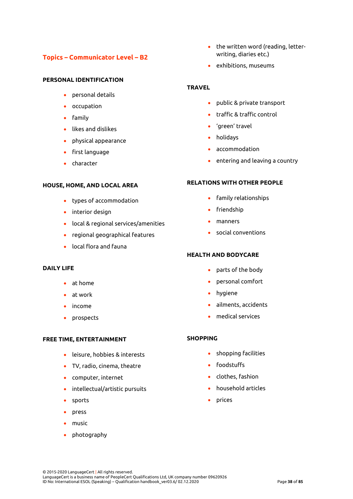# **Topics – Communicator Level – B2**

# **PERSONAL IDENTIFICATION**

- personal details
- occupation
- family
- likes and dislikes
- physical appearance
- first language
- character

# **HOUSE, HOME, AND LOCAL AREA**

- types of accommodation
- interior design
- local & regional services/amenities
- regional geographical features
- local flora and fauna

## **DAILY LIFE**

- at home
- at work
- income
- prospects

## **FREE TIME, ENTERTAINMENT**

- leisure, hobbies & interests
- TV, radio, cinema, theatre
- computer, internet
- intellectual/artistic pursuits
- sports
- press
- music
- photography
- the written word (reading, letterwriting, diaries etc.)
- exhibitions, museums

## **TRAVEL**

- public & private transport
- traffic & traffic control
- 'green' travel
- holidays
- accommodation
- entering and leaving a country

## **RELATIONS WITH OTHER PEOPLE**

- family relationships
- friendship
- manners
- social conventions

## **HEALTH AND BODYCARE**

- parts of the body
- personal comfort
- hygiene
- ailments, accidents
- medical services

## **SHOPPING**

- shopping facilities
- foodstuffs
- clothes, fashion
- household articles
- prices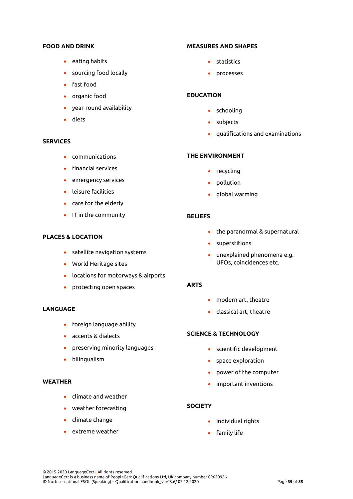#### **FOOD AND DRINK**

- eating habits
- sourcing food locally
- fast food
- organic food
- year-round availability
- diets

## **SERVICES**

- communications
- financial services
- emergency services
- leisure facilities
- care for the elderly
- IT in the community

## **PLACES & LOCATION**

- satellite navigation systems
- World Heritage sites
- locations for motorways & airports
- protecting open spaces

## **LANGUAGE**

- foreign language ability
- accents & dialects
- preserving minority languages
- bilingualism

### **WEATHER**

- climate and weather
- weather forecasting
- climate change
- extreme weather

#### **MEASURES AND SHAPES**

- statistics
- processes

## **EDUCATION**

- schooling
- subjects
- qualifications and examinations

## **THE ENVIRONMENT**

- recycling
- pollution
- global warming

#### **BELIEFS**

- the paranormal & supernatural
- superstitions
- unexplained phenomena e.g. UFOs, coincidences etc.

#### **ARTS**

- modern art, theatre
- classical art, theatre

# **SCIENCE & TECHNOLOGY**

- scientific development
- space exploration
- power of the computer
- important inventions

#### **SOCIETY**

- individual rights
- family life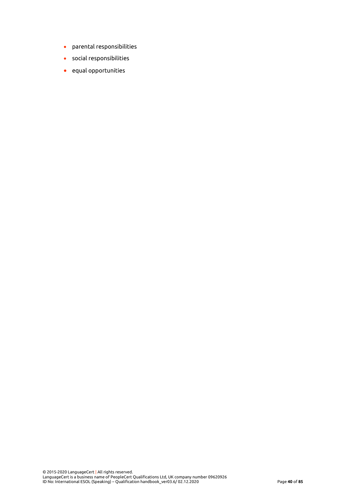- parental responsibilities
- social responsibilities
- equal opportunities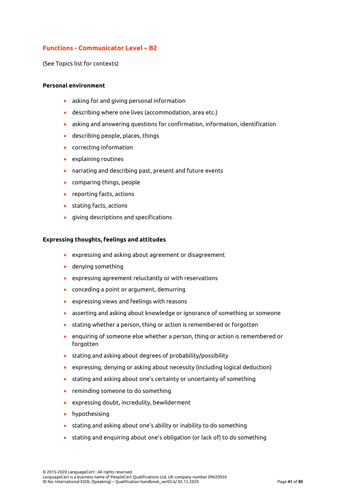# **Functions - Communicator Level – B2**

(See Topics list for contexts)

### **Personal environment**

- asking for and giving personal information
- describing where one lives (accommodation, area etc.)
- asking and answering questions for confirmation, information, identification
- describing people, places, things
- correcting information
- explaining routines
- narrating and describing past, present and future events
- comparing things, people
- reporting facts, actions
- stating facts, actions
- giving descriptions and specifications

#### **Expressing thoughts, feelings and attitudes**

- expressing and asking about agreement or disagreement
- denying something
- expressing agreement reluctantly or with reservations
- conceding a point or argument, demurring
- expressing views and feelings with reasons
- asserting and asking about knowledge or ignorance of something or someone
- stating whether a person, thing or action is remembered or forgotten
- enquiring of someone else whether a person, thing or action is remembered or forgotten
- stating and asking about degrees of probability/possibility
- expressing, denying or asking about necessity (including logical deduction)
- stating and asking about one's certainty or uncertainty of something
- reminding someone to do something
- expressing doubt, incredulity, bewilderment
- hypothesising
- stating and asking about one's ability or inability to do something
- stating and enquiring about one's obligation (or lack of) to do something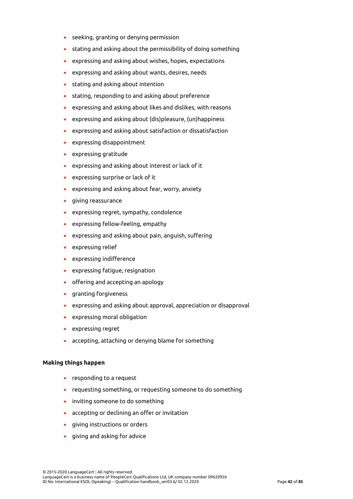- seeking, granting or denying permission
- stating and asking about the permissibility of doing something
- expressing and asking about wishes, hopes, expectations
- expressing and asking about wants, desires, needs
- stating and asking about intention
- stating, responding to and asking about preference
- expressing and asking about likes and dislikes, with reasons
- expressing and asking about (dis)pleasure, (un)happiness
- expressing and asking about satisfaction or dissatisfaction
- expressing disappointment
- expressing gratitude
- expressing and asking about interest or lack of it
- expressing surprise or lack of it
- expressing and asking about fear, worry, anxiety
- giving reassurance
- expressing regret, sympathy, condolence
- expressing fellow-feeling, empathy
- expressing and asking about pain, anguish, suffering
- expressing relief
- expressing indifference
- expressing fatigue, resignation
- offering and accepting an apology
- granting forgiveness
- expressing and asking about approval, appreciation or disapproval
- expressing moral obligation
- expressing regret
- accepting, attaching or denying blame for something

### **Making things happen**

- responding to a request
- requesting something, or requesting someone to do something
- inviting someone to do something
- accepting or declining an offer or invitation
- giving instructions or orders
- giving and asking for advice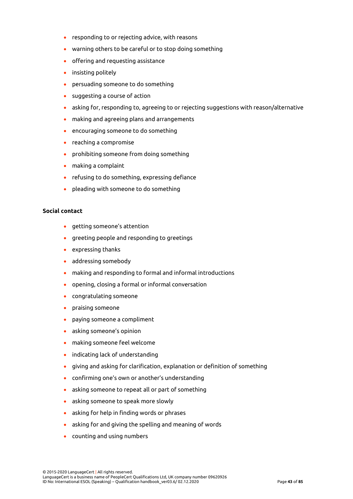- responding to or rejecting advice, with reasons
- warning others to be careful or to stop doing something
- offering and requesting assistance
- insisting politely
- persuading someone to do something
- suggesting a course of action
- asking for, responding to, agreeing to or rejecting suggestions with reason/alternative
- making and agreeing plans and arrangements
- encouraging someone to do something
- reaching a compromise
- prohibiting someone from doing something
- making a complaint
- refusing to do something, expressing defiance
- pleading with someone to do something

## **Social contact**

- getting someone's attention
- greeting people and responding to greetings
- expressing thanks
- addressing somebody
- making and responding to formal and informal introductions
- opening, closing a formal or informal conversation
- congratulating someone
- praising someone
- paying someone a compliment
- asking someone's opinion
- making someone feel welcome
- indicating lack of understanding
- giving and asking for clarification, explanation or definition of something
- confirming one's own or another's understanding
- asking someone to repeat all or part of something
- asking someone to speak more slowly
- asking for help in finding words or phrases
- asking for and giving the spelling and meaning of words
- counting and using numbers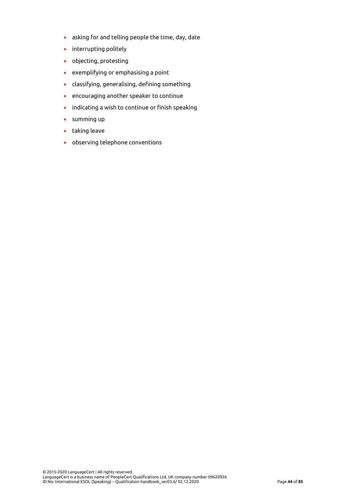- asking for and telling people the time, day, date
- interrupting politely
- objecting, protesting
- exemplifying or emphasising a point
- classifying, generalising, defining something
- encouraging another speaker to continue
- indicating a wish to continue or finish speaking
- summing up
- taking leave
- observing telephone conventions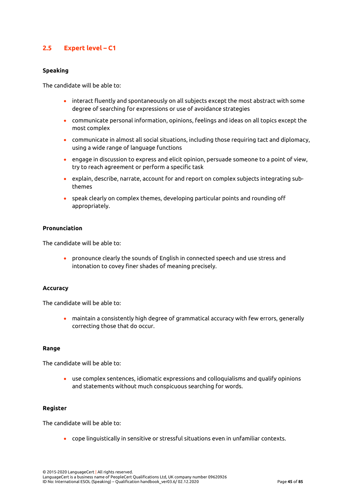# **2.5 Expert level – C1**

#### **Speaking**

The candidate will be able to:

- interact fluently and spontaneously on all subjects except the most abstract with some degree of searching for expressions or use of avoidance strategies
- communicate personal information, opinions, feelings and ideas on all topics except the most complex
- communicate in almost all social situations, including those requiring tact and diplomacy, using a wide range of language functions
- engage in discussion to express and elicit opinion, persuade someone to a point of view, try to reach agreement or perform a specific task
- explain, describe, narrate, account for and report on complex subjects integrating subthemes
- speak clearly on complex themes, developing particular points and rounding off appropriately.

#### **Pronunciation**

The candidate will be able to:

• pronounce clearly the sounds of English in connected speech and use stress and intonation to covey finer shades of meaning precisely.

#### **Accuracy**

The candidate will be able to:

• maintain a consistently high degree of grammatical accuracy with few errors, generally correcting those that do occur.

### **Range**

The candidate will be able to:

• use complex sentences, idiomatic expressions and colloquialisms and qualify opinions and statements without much conspicuous searching for words.

#### **Register**

The candidate will be able to:

• cope linguistically in sensitive or stressful situations even in unfamiliar contexts.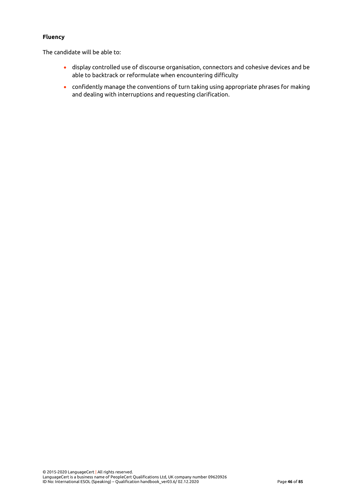## **Fluency**

The candidate will be able to:

- display controlled use of discourse organisation, connectors and cohesive devices and be able to backtrack or reformulate when encountering difficulty
- confidently manage the conventions of turn taking using appropriate phrases for making and dealing with interruptions and requesting clarification.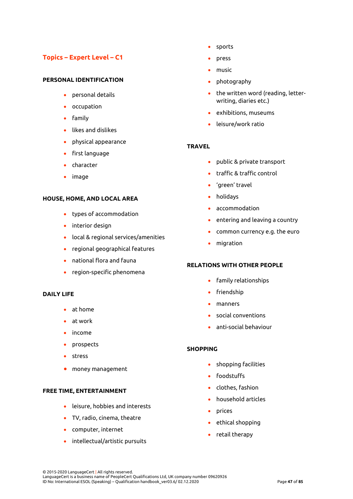# **Topics – Expert Level – C1**

## **PERSONAL IDENTIFICATION**

- personal details
- occupation
- family
- likes and dislikes
- physical appearance
- first language
- character
- image

#### **HOUSE, HOME, AND LOCAL AREA**

- types of accommodation
- interior design
- local & regional services/amenities
- regional geographical features
- national flora and fauna
- region-specific phenomena

#### **DAILY LIFE**

- at home
- at work
- income
- prospects
- stress
- money management

#### **FREE TIME, ENTERTAINMENT**

- leisure, hobbies and interests
- TV, radio, cinema, theatre
- computer, internet
- intellectual/artistic pursuits
- sports
- press
- music
- photography
- the written word (reading, letterwriting, diaries etc.)
- exhibitions, museums
- leisure/work ratio

### **TRAVEL**

- public & private transport
- traffic & traffic control
- 'green' travel
- holidays
- accommodation
- entering and leaving a country
- common currency e.g. the euro
- migration

## **RELATIONS WITH OTHER PEOPLE**

- family relationships
- friendship
- manners
- social conventions
- anti-social behaviour

### **SHOPPING**

- shopping facilities
- foodstuffs
- clothes, fashion
- household articles
- prices
- ethical shopping
- retail therapy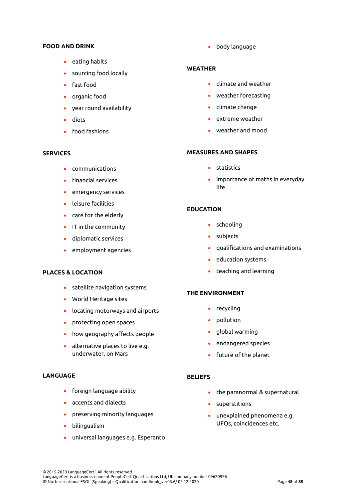#### **FOOD AND DRINK**

- eating habits
- sourcing food locally
- fast food
- organic food
- year round availability
- diets
- food fashions

## **SERVICES**

- communications
- financial services
- emergency services
- leisure facilities
- care for the elderly
- IT in the community
- diplomatic services
- employment agencies

#### **PLACES & LOCATION**

- satellite navigation systems
- World Heritage sites
- locating motorways and airports
- protecting open spaces
- how geography affects people
- alternative places to live e.g. underwater, on Mars

## **LANGUAGE**

- foreign language ability
- accents and dialects
- preserving minority languages
- bilingualism
- universal languages e.g. Esperanto

• body language

## **WEATHER**

- climate and weather
- weather forecasting
- climate change
- extreme weather
- weather and mood

#### **MEASURES AND SHAPES**

- statistics
- importance of maths in everyday life

## **EDUCATION**

- schooling
- subjects
- qualifications and examinations
- education systems
- teaching and learning

#### **THE ENVIRONMENT**

- recycling
- pollution
- global warming
- endangered species
- future of the planet

#### **BELIEFS**

- the paranormal & supernatural
- superstitions
- unexplained phenomena e.g. UFOs, coincidences etc.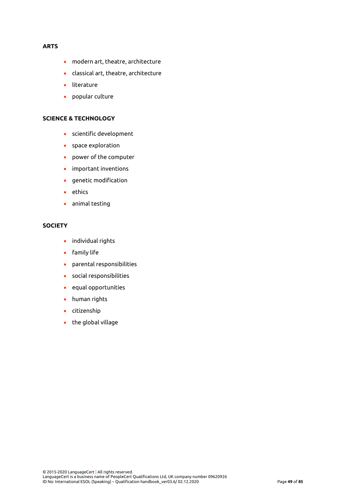## **ARTS**

- modern art, theatre, architecture
- classical art, theatre, architecture
- literature
- popular culture

#### **SCIENCE & TECHNOLOGY**

- scientific development
- space exploration
- power of the computer
- important inventions
- genetic modification
- ethics
- animal testing

## **SOCIETY**

- individual rights
- family life
- parental responsibilities
- social responsibilities
- equal opportunities
- human rights
- citizenship
- the global village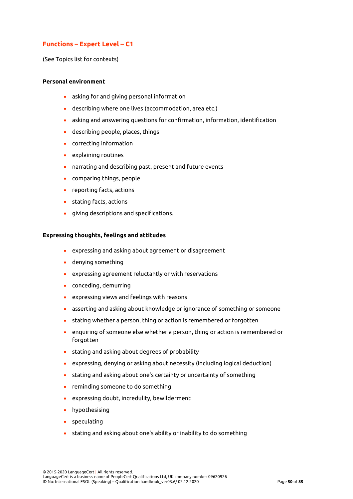# **Functions – Expert Level – C1**

(See Topics list for contexts)

#### **Personal environment**

- asking for and giving personal information
- describing where one lives (accommodation, area etc.)
- asking and answering questions for confirmation, information, identification
- describing people, places, things
- correcting information
- explaining routines
- narrating and describing past, present and future events
- comparing things, people
- reporting facts, actions
- stating facts, actions
- giving descriptions and specifications.

#### **Expressing thoughts, feelings and attitudes**

- expressing and asking about agreement or disagreement
- denying something
- expressing agreement reluctantly or with reservations
- conceding, demurring
- expressing views and feelings with reasons
- asserting and asking about knowledge or ignorance of something or someone
- stating whether a person, thing or action is remembered or forgotten
- enquiring of someone else whether a person, thing or action is remembered or forgotten
- stating and asking about degrees of probability
- expressing, denying or asking about necessity (including logical deduction)
- stating and asking about one's certainty or uncertainty of something
- reminding someone to do something
- expressing doubt, incredulity, bewilderment
- hypothesising
- speculating
- stating and asking about one's ability or inability to do something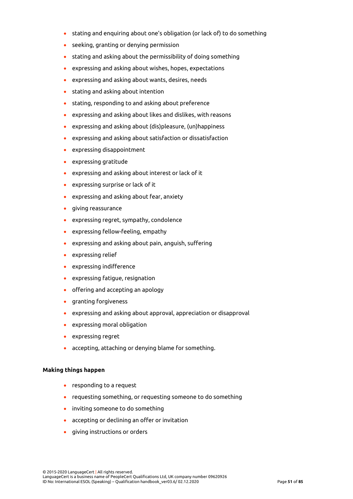- stating and enquiring about one's obligation (or lack of) to do something
- seeking, granting or denying permission
- stating and asking about the permissibility of doing something
- expressing and asking about wishes, hopes, expectations
- expressing and asking about wants, desires, needs
- stating and asking about intention
- stating, responding to and asking about preference
- expressing and asking about likes and dislikes, with reasons
- expressing and asking about (dis)pleasure, (un)happiness
- expressing and asking about satisfaction or dissatisfaction
- expressing disappointment
- expressing gratitude
- expressing and asking about interest or lack of it
- expressing surprise or lack of it
- expressing and asking about fear, anxiety
- giving reassurance
- expressing regret, sympathy, condolence
- expressing fellow-feeling, empathy
- expressing and asking about pain, anguish, suffering
- expressing relief
- expressing indifference
- expressing fatigue, resignation
- offering and accepting an apology
- granting forgiveness
- expressing and asking about approval, appreciation or disapproval
- expressing moral obligation
- expressing regret
- accepting, attaching or denying blame for something.

### **Making things happen**

- responding to a request
- requesting something, or requesting someone to do something
- inviting someone to do something
- accepting or declining an offer or invitation
- giving instructions or orders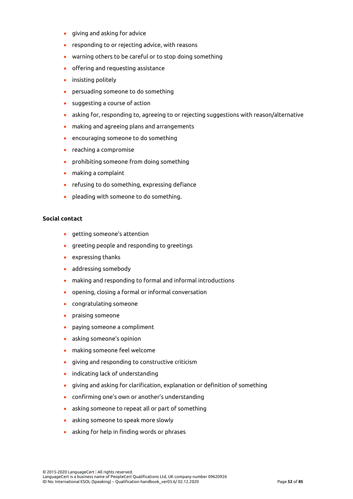- giving and asking for advice
- responding to or rejecting advice, with reasons
- warning others to be careful or to stop doing something
- offering and requesting assistance
- insisting politely
- persuading someone to do something
- suggesting a course of action
- asking for, responding to, agreeing to or rejecting suggestions with reason/alternative
- making and agreeing plans and arrangements
- encouraging someone to do something
- reaching a compromise
- prohibiting someone from doing something
- making a complaint
- refusing to do something, expressing defiance
- pleading with someone to do something.

### **Social contact**

- getting someone's attention
- greeting people and responding to greetings
- expressing thanks
- addressing somebody
- making and responding to formal and informal introductions
- opening, closing a formal or informal conversation
- congratulating someone
- praising someone
- paying someone a compliment
- asking someone's opinion
- making someone feel welcome
- giving and responding to constructive criticism
- indicating lack of understanding
- giving and asking for clarification, explanation or definition of something
- confirming one's own or another's understanding
- asking someone to repeat all or part of something
- asking someone to speak more slowly
- asking for help in finding words or phrases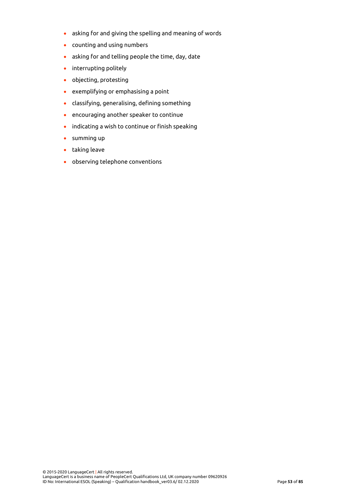- asking for and giving the spelling and meaning of words
- counting and using numbers
- asking for and telling people the time, day, date
- interrupting politely
- objecting, protesting
- exemplifying or emphasising a point
- classifying, generalising, defining something
- encouraging another speaker to continue
- indicating a wish to continue or finish speaking
- summing up
- taking leave
- observing telephone conventions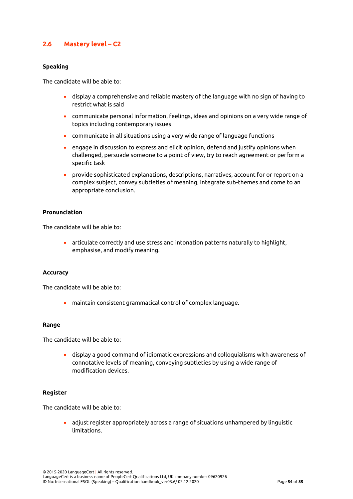## **2.6 Mastery level – C2**

## **Speaking**

The candidate will be able to:

- display a comprehensive and reliable mastery of the language with no sign of having to restrict what is said
- communicate personal information, feelings, ideas and opinions on a very wide range of topics including contemporary issues
- communicate in all situations using a very wide range of language functions
- engage in discussion to express and elicit opinion, defend and justify opinions when challenged, persuade someone to a point of view, try to reach agreement or perform a specific task
- provide sophisticated explanations, descriptions, narratives, account for or report on a complex subject, convey subtleties of meaning, integrate sub-themes and come to an appropriate conclusion.

### **Pronunciation**

The candidate will be able to:

• articulate correctly and use stress and intonation patterns naturally to highlight, emphasise, and modify meaning.

#### **Accuracy**

The candidate will be able to:

• maintain consistent grammatical control of complex language.

#### **Range**

The candidate will be able to:

• display a good command of idiomatic expressions and colloquialisms with awareness of connotative levels of meaning, conveying subtleties by using a wide range of modification devices.

#### **Register**

The candidate will be able to:

• adjust register appropriately across a range of situations unhampered by linguistic limitations.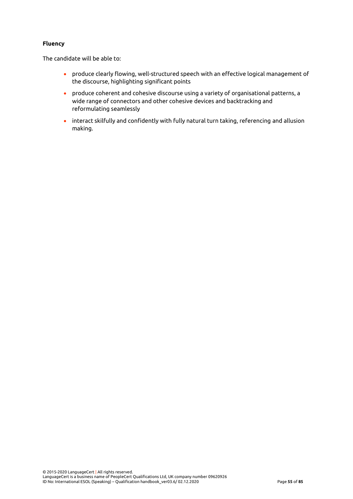## **Fluency**

The candidate will be able to:

- produce clearly flowing, well-structured speech with an effective logical management of the discourse, highlighting significant points
- produce coherent and cohesive discourse using a variety of organisational patterns, a wide range of connectors and other cohesive devices and backtracking and reformulating seamlessly
- interact skilfully and confidently with fully natural turn taking, referencing and allusion making.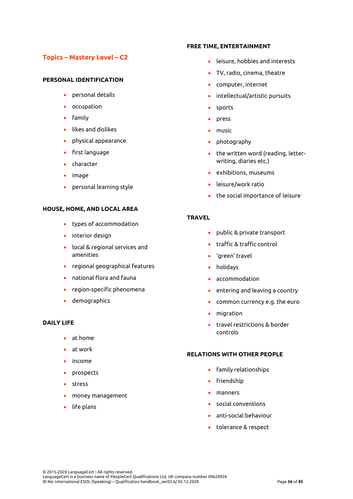# **Topics – Mastery Level – C2**

## **PERSONAL IDENTIFICATION**

- personal details
- occupation
- family
- likes and dislikes
- physical appearance
- first language
- character
- image
- personal learning style

## **HOUSE, HOME, AND LOCAL AREA**

- types of accommodation
- interior design
- local & regional services and amenities
- regional geographical features
- national flora and fauna
- region-specific phenomena
- demographics

## **DAILY LIFE**

- at home
- at work
- income
- prospects
- stress
- money management
- life plans

### **FREE TIME, ENTERTAINMENT**

- leisure, hobbies and interests
- TV, radio, cinema, theatre
- computer, internet
- intellectual/artistic pursuits
- sports
- press
- music
- photography
- the written word (reading, letterwriting, diaries etc.)
- exhibitions, museums
- leisure/work ratio
- the social importance of leisure

## **TRAVEL**

- public & private transport
- traffic & traffic control
- 'green' travel
- holidays
- accommodation
- entering and leaving a country
- common currency e.g. the euro
- migration
- travel restrictions & border controls

### **RELATIONS WITH OTHER PEOPLE**

- family relationships
- friendship
- manners
- social conventions
- anti-social behaviour
- tolerance & respect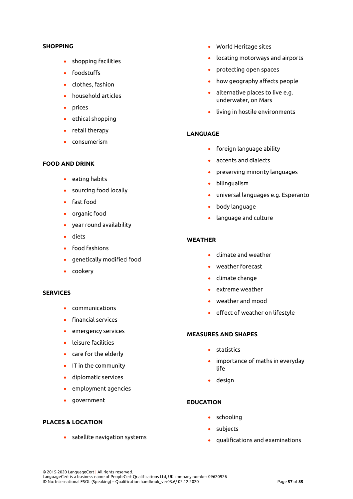### **SHOPPING**

- shopping facilities
- foodstuffs
- clothes, fashion
- household articles
- prices
- ethical shopping
- retail therapy
- consumerism

#### **FOOD AND DRINK**

- eating habits
- sourcing food locally
- fast food
- organic food
- year round availability
- diets
- food fashions
- genetically modified food
- cookery

#### **SERVICES**

- communications
- financial services
- emergency services
- leisure facilities
- care for the elderly
- IT in the community
- diplomatic services
- employment agencies
- government

## **PLACES & LOCATION**

• satellite navigation systems

- World Heritage sites
- locating motorways and airports
- protecting open spaces
- how geography affects people
- alternative places to live e.g. underwater, on Mars
- living in hostile environments

### **LANGUAGE**

- foreign language ability
- accents and dialects
- preserving minority languages
- bilingualism
- universal languages e.g. Esperanto
- body language
- language and culture

## **WEATHER**

- climate and weather
- weather forecast
- climate change
- extreme weather
- weather and mood
- effect of weather on lifestyle

## **MEASURES AND SHAPES**

- statistics
- importance of maths in everyday life
- design

## **EDUCATION**

- schooling
- subjects
- qualifications and examinations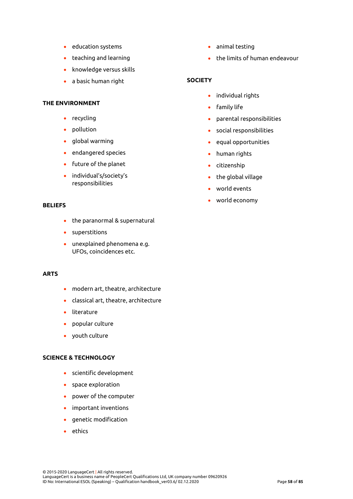- education systems
- teaching and learning
- knowledge versus skills
- a basic human right

#### **THE ENVIRONMENT**

- recycling
- pollution
- global warming
- endangered species
- future of the planet
- individual's/society's responsibilities

#### **BELIEFS**

- the paranormal & supernatural
- superstitions
- unexplained phenomena e.g. UFOs, coincidences etc.

## **ARTS**

- modern art, theatre, architecture
- classical art, theatre, architecture
- literature
- popular culture
- youth culture

#### **SCIENCE & TECHNOLOGY**

- scientific development
- space exploration
- power of the computer
- important inventions
- genetic modification
- ethics
- animal testing
- the limits of human endeavour

## **SOCIETY**

- individual rights
- family life
- parental responsibilities
- social responsibilities
- equal opportunities
- human rights
- citizenship
- the global village
- world events
- world economy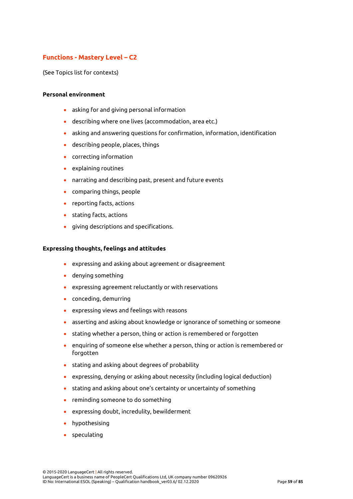# **Functions - Mastery Level – C2**

(See Topics list for contexts)

### **Personal environment**

- asking for and giving personal information
- describing where one lives (accommodation, area etc.)
- asking and answering questions for confirmation, information, identification
- describing people, places, things
- correcting information
- explaining routines
- narrating and describing past, present and future events
- comparing things, people
- reporting facts, actions
- stating facts, actions
- giving descriptions and specifications.

#### **Expressing thoughts, feelings and attitudes**

- expressing and asking about agreement or disagreement
- denying something
- expressing agreement reluctantly or with reservations
- conceding, demurring
- expressing views and feelings with reasons
- asserting and asking about knowledge or ignorance of something or someone
- stating whether a person, thing or action is remembered or forgotten
- enquiring of someone else whether a person, thing or action is remembered or forgotten
- stating and asking about degrees of probability
- expressing, denying or asking about necessity (including logical deduction)
- stating and asking about one's certainty or uncertainty of something
- reminding someone to do something
- expressing doubt, incredulity, bewilderment
- hypothesising
- speculating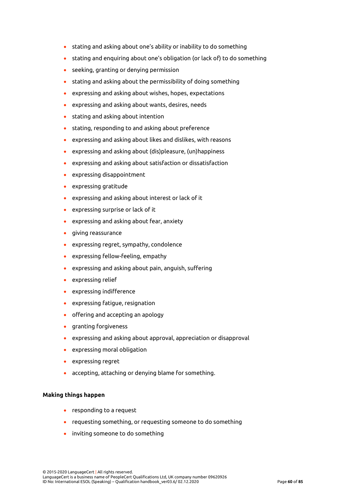- stating and asking about one's ability or inability to do something
- stating and enquiring about one's obligation (or lack of) to do something
- seeking, granting or denying permission
- stating and asking about the permissibility of doing something
- expressing and asking about wishes, hopes, expectations
- expressing and asking about wants, desires, needs
- stating and asking about intention
- stating, responding to and asking about preference
- expressing and asking about likes and dislikes, with reasons
- expressing and asking about (dis)pleasure, (un)happiness
- expressing and asking about satisfaction or dissatisfaction
- expressing disappointment
- expressing gratitude
- expressing and asking about interest or lack of it
- expressing surprise or lack of it
- expressing and asking about fear, anxiety
- giving reassurance
- expressing regret, sympathy, condolence
- expressing fellow-feeling, empathy
- expressing and asking about pain, anguish, suffering
- expressing relief
- expressing indifference
- expressing fatigue, resignation
- offering and accepting an apology
- granting forgiveness
- expressing and asking about approval, appreciation or disapproval
- expressing moral obligation
- expressing regret
- accepting, attaching or denying blame for something.

## **Making things happen**

- responding to a request
- requesting something, or requesting someone to do something
- inviting someone to do something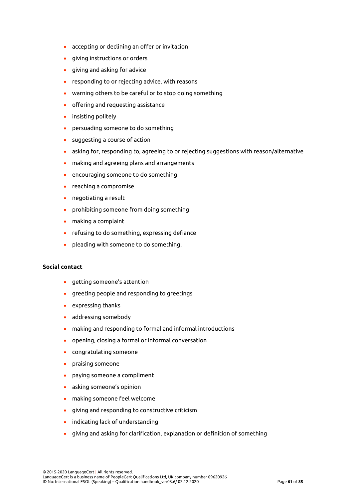- accepting or declining an offer or invitation
- giving instructions or orders
- giving and asking for advice
- responding to or rejecting advice, with reasons
- warning others to be careful or to stop doing something
- offering and requesting assistance
- insisting politely
- persuading someone to do something
- suggesting a course of action
- asking for, responding to, agreeing to or rejecting suggestions with reason/alternative
- making and agreeing plans and arrangements
- encouraging someone to do something
- reaching a compromise
- negotiating a result
- prohibiting someone from doing something
- making a complaint
- refusing to do something, expressing defiance
- pleading with someone to do something.

## **Social contact**

- getting someone's attention
- greeting people and responding to greetings
- expressing thanks
- addressing somebody
- making and responding to formal and informal introductions
- opening, closing a formal or informal conversation
- congratulating someone
- praising someone
- paying someone a compliment
- asking someone's opinion
- making someone feel welcome
- giving and responding to constructive criticism
- indicating lack of understanding
- giving and asking for clarification, explanation or definition of something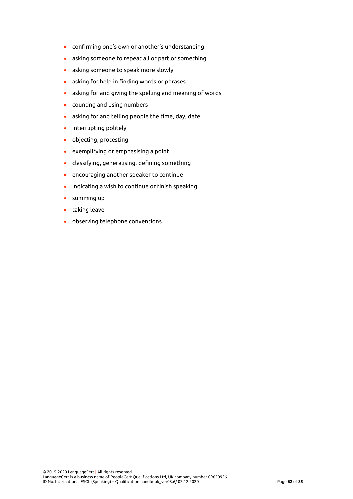- confirming one's own or another's understanding
- asking someone to repeat all or part of something
- asking someone to speak more slowly
- asking for help in finding words or phrases
- asking for and giving the spelling and meaning of words
- counting and using numbers
- asking for and telling people the time, day, date
- interrupting politely
- objecting, protesting
- exemplifying or emphasising a point
- classifying, generalising, defining something
- encouraging another speaker to continue
- indicating a wish to continue or finish speaking
- summing up
- taking leave
- observing telephone conventions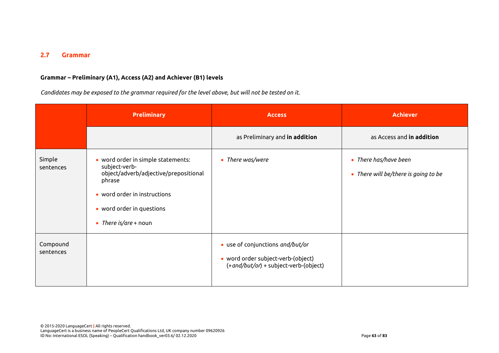# **2.7 Grammar**

## **Grammar – Preliminary (A1), Access (A2) and Achiever (B1) levels**

*Candidates may be exposed to the grammar required for the level above, but will not be tested on it.*

|                       | <b>Preliminary</b>                                                                                                                                                                           | <b>Access</b>                                                                                                      | <b>Achiever</b>                                               |
|-----------------------|----------------------------------------------------------------------------------------------------------------------------------------------------------------------------------------------|--------------------------------------------------------------------------------------------------------------------|---------------------------------------------------------------|
|                       |                                                                                                                                                                                              | as Preliminary and in addition                                                                                     | as Access and in addition                                     |
| Simple<br>sentences   | • word order in simple statements:<br>subject-verb-<br>object/adverb/adjective/prepositional<br>phrase<br>• word order in instructions<br>• word order in questions<br>• There is/are + noun | • There was/were                                                                                                   | • There has/have been<br>• There will be/there is going to be |
| Compound<br>sentences |                                                                                                                                                                                              | • use of conjunctions and/but/or<br>• word order subject-verb-(object)<br>$(+$ and/but/or) + subject-verb-(object) |                                                               |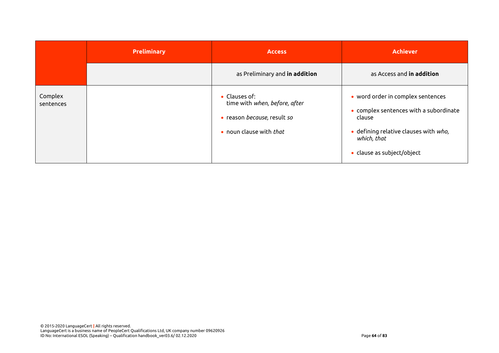|                      | <b>Preliminary</b> | <b>Access</b>                                                                                            | <b>Achiever</b>                                                                                                                                                             |
|----------------------|--------------------|----------------------------------------------------------------------------------------------------------|-----------------------------------------------------------------------------------------------------------------------------------------------------------------------------|
|                      |                    | as Preliminary and in addition                                                                           | as Access and in addition                                                                                                                                                   |
| Complex<br>sentences |                    | • Clauses of:<br>time with when, before, after<br>• reason because, result so<br>• noun clause with that | • word order in complex sentences<br>• complex sentences with a subordinate<br>clause<br>· defining relative clauses with who,<br>which, that<br>• clause as subject/object |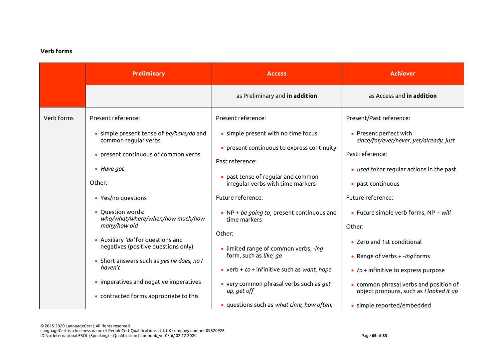## **Verb forms**

|                                                                                                                                                                                                                       | <b>Preliminary</b>                                                        | <b>Access</b>                                                                     | <b>Achiever</b>                                                                      |
|-----------------------------------------------------------------------------------------------------------------------------------------------------------------------------------------------------------------------|---------------------------------------------------------------------------|-----------------------------------------------------------------------------------|--------------------------------------------------------------------------------------|
|                                                                                                                                                                                                                       |                                                                           | as Preliminary and in addition                                                    | as Access and in addition                                                            |
| Verb forms                                                                                                                                                                                                            | Present reference:                                                        | Present reference:                                                                | Present/Past reference:                                                              |
| common regular verbs<br>• present continuous of common verbs<br>$\bullet$ Have got<br>Other:<br>• Yes/no questions                                                                                                    | • simple present tense of <i>be/have/do</i> and                           | • simple present with no time focus<br>• present continuous to express continuity | • Present perfect with<br>since/for/ever/never, yet/already, just<br>Past reference: |
|                                                                                                                                                                                                                       |                                                                           | Past reference:<br>• past tense of regular and common                             | • used to for regular actions in the past                                            |
|                                                                                                                                                                                                                       |                                                                           | irregular verbs with time markers<br>Future reference:                            | • past continuous<br>Future reference:                                               |
|                                                                                                                                                                                                                       | • Question words:<br>who/what/where/when/how much/how<br>many/how old     | • NP + be going to, present continuous and<br>time markers                        | • Future simple verb forms, $NP + will$<br>Other:                                    |
| • Auxiliary 'do' for questions and<br>negatives (positive questions only)<br>• Short answers such as yes he does, no I<br>haven't<br>• imperatives and negative imperatives<br>• contracted forms appropriate to this | Other:<br>• limited range of common verbs, -ing<br>form, such as like, go | • Zero and 1st conditional<br>• Range of verbs $+ -ing$ forms                     |                                                                                      |
|                                                                                                                                                                                                                       |                                                                           | • verb + $to$ + infinitive such as want, hope                                     | $\bullet$ to + infinitive to express purpose                                         |
|                                                                                                                                                                                                                       |                                                                           | • very common phrasal verbs such as get<br>up, get off                            | • common phrasal verbs and position of<br>object pronouns, such as I looked it up    |
|                                                                                                                                                                                                                       |                                                                           | • questions such as what time, how often,                                         | · simple reported/embedded                                                           |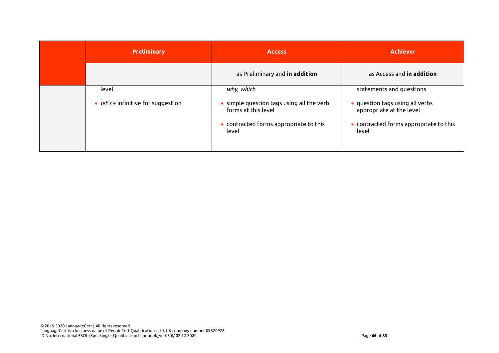| <b>Preliminary</b>                  | <b>Access</b>                                                                                                       | <b>Achiever</b>                                                                                                |
|-------------------------------------|---------------------------------------------------------------------------------------------------------------------|----------------------------------------------------------------------------------------------------------------|
|                                     | as Preliminary and in addition                                                                                      | as Access and <b>in addition</b>                                                                               |
| level                               | why, which                                                                                                          | statements and questions                                                                                       |
| • $let's + infinite for suggestion$ | • simple question tags using all the verb<br>forms at this level<br>• contracted forms appropriate to this<br>level | • question tags using all verbs<br>appropriate at the level<br>• contracted forms appropriate to this<br>level |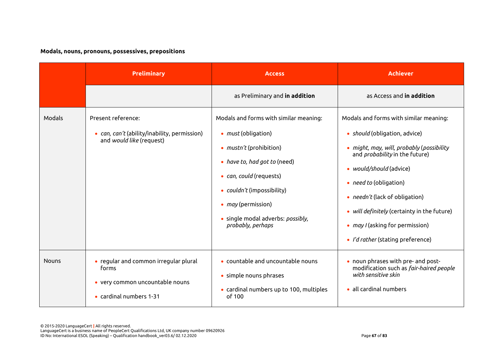## **Modals, nouns, pronouns, possessives, prepositions**

|              | <b>Preliminary</b>                                                                                           | <b>Access</b>                                                                                                                                                                                                                                                                          | <b>Achiever</b>                                                                                                                                                                                                                                                                                                                                                                           |
|--------------|--------------------------------------------------------------------------------------------------------------|----------------------------------------------------------------------------------------------------------------------------------------------------------------------------------------------------------------------------------------------------------------------------------------|-------------------------------------------------------------------------------------------------------------------------------------------------------------------------------------------------------------------------------------------------------------------------------------------------------------------------------------------------------------------------------------------|
|              |                                                                                                              | as Preliminary and in addition                                                                                                                                                                                                                                                         | as Access and in addition                                                                                                                                                                                                                                                                                                                                                                 |
| Modals       | Present reference:<br>• can, can't (ability/inability, permission)<br>and would like (request)               | Modals and forms with similar meaning:<br>• <i>must</i> (obligation)<br>• <i>mustn't</i> (prohibition)<br>• have to, had got to (need)<br>• can, could (requests)<br>• couldn't (impossibility)<br>• <i>may</i> (permission)<br>· single modal adverbs: possibly,<br>probably, perhaps | Modals and forms with similar meaning:<br>• should (obligation, advice)<br>• might, may, will, probably (possibility<br>and <i>probability</i> in the future)<br>• would/should (advice)<br>• <i>need to</i> (obligation)<br>• <i>needn't</i> (lack of obligation)<br>• will definitely (certainty in the future)<br>• may / (asking for permission)<br>• I'd rather (stating preference) |
| <b>Nouns</b> | • regular and common irregular plural<br>forms<br>• very common uncountable nouns<br>• cardinal numbers 1-31 | • countable and uncountable nouns<br>• simple nouns phrases<br>• cardinal numbers up to 100, multiples<br>of 100                                                                                                                                                                       | • noun phrases with pre- and post-<br>modification such as fair-haired people<br>with sensitive skin<br>• all cardinal numbers                                                                                                                                                                                                                                                            |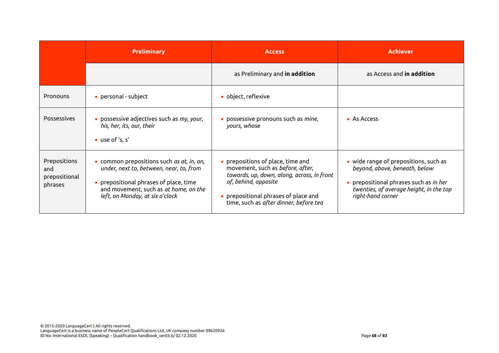|                                                 | <b>Preliminary</b>                                                                                                                                                                                         | <b>Access</b>                                                                                                                                                                                                                 | <b>Achiever</b>                                                                                                                                                                         |
|-------------------------------------------------|------------------------------------------------------------------------------------------------------------------------------------------------------------------------------------------------------------|-------------------------------------------------------------------------------------------------------------------------------------------------------------------------------------------------------------------------------|-----------------------------------------------------------------------------------------------------------------------------------------------------------------------------------------|
|                                                 |                                                                                                                                                                                                            | as Preliminary and in addition                                                                                                                                                                                                | as Access and <b>in addition</b>                                                                                                                                                        |
| Pronouns                                        | • personal - subject                                                                                                                                                                                       | • object, reflexive                                                                                                                                                                                                           |                                                                                                                                                                                         |
| <b>Possessives</b>                              | · possessive adjectives such as my, your,<br>his, her, its, our, their<br>• use of 's, s'                                                                                                                  | • possessive pronouns such as mine,<br>yours, whose                                                                                                                                                                           | • As Access                                                                                                                                                                             |
| Prepositions<br>and<br>prepositional<br>phrases | • common prepositions such as at, in, on,<br>under, next to, between, near, to, from<br>• prepositional phrases of place, time<br>and movement, such as at home, on the<br>left, on Monday, at six o'clock | • prepositions of place, time and<br>movement, such as before, after,<br>towards, up, down, along, across, in front<br>of, behind, opposite<br>• prepositional phrases of place and<br>time, such as after dinner, before tea | • wide range of prepositions, such as<br>beyond, above, beneath, below<br>• prepositional phrases such as <i>in her</i><br>twenties, of average height, in the top<br>right-hand corner |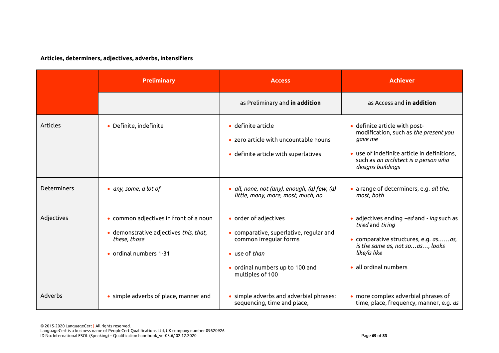## **Articles, determiners, adjectives, adverbs, intensifiers**

|                    | <b>Preliminary</b>                                                                                                         | <b>Access</b>                                                                                                                                                      | <b>Achiever</b>                                                                                                                                                                               |
|--------------------|----------------------------------------------------------------------------------------------------------------------------|--------------------------------------------------------------------------------------------------------------------------------------------------------------------|-----------------------------------------------------------------------------------------------------------------------------------------------------------------------------------------------|
|                    |                                                                                                                            | as Preliminary and in addition                                                                                                                                     | as Access and in addition                                                                                                                                                                     |
| <b>Articles</b>    | • Definite, indefinite                                                                                                     | $\bullet$ definite article<br>• zero article with uncountable nouns<br>· definite article with superlatives                                                        | · definite article with post-<br>modification, such as the present you<br>gave me<br>• use of indefinite article in definitions,<br>such as an architect is a person who<br>designs buildings |
| <b>Determiners</b> | • any, some, a lot of                                                                                                      | · all, none, not (any), enough, (a) few, (a)<br>little, many, more, most, much, no                                                                                 | · a range of determiners, e.g. all the,<br>most, both                                                                                                                                         |
| Adjectives         | • common adjectives in front of a noun<br>· demonstrative adjectives this, that,<br>these, those<br>• ordinal numbers 1-31 | • order of adjectives<br>• comparative, superlative, regular and<br>common irregular forms<br>• use of than<br>• ordinal numbers up to 100 and<br>multiples of 100 | • adjectives ending $-ed$ and - ing such as<br>tired and tiring<br>· comparative structures, e.g. asas,<br>is the same as, not soas, looks<br>like/is like<br>all ordinal numbers             |
| Adverbs            | • simple adverbs of place, manner and                                                                                      | • simple adverbs and adverbial phrases:<br>sequencing, time and place,                                                                                             | • more complex adverbial phrases of<br>time, place, frequency, manner, e.g. as                                                                                                                |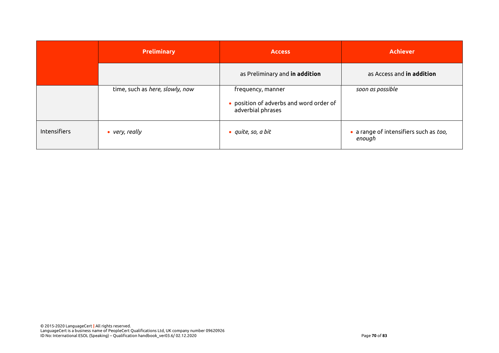|              | <b>Preliminary</b>              | <b>Access</b>                                                                     | <b>Achiever</b>                                  |
|--------------|---------------------------------|-----------------------------------------------------------------------------------|--------------------------------------------------|
|              |                                 | as Preliminary and in addition                                                    | as Access and in addition                        |
|              | time, such as here, slowly, now | frequency, manner<br>• position of adverbs and word order of<br>adverbial phrases | soon as possible                                 |
| Intensifiers | $\bullet\$ very, really         | $\bullet$ quite, so, a bit                                                        | • a range of intensifiers such as too,<br>enough |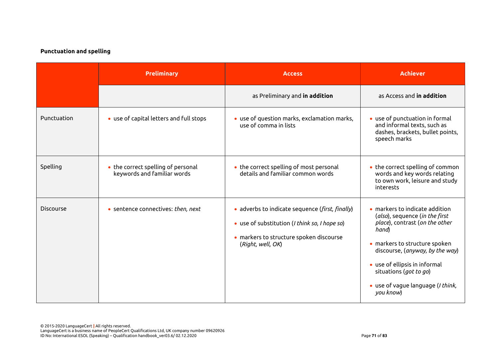## **Punctuation and spelling**

|                  | <b>Preliminary</b>                                                | <b>Access</b>                                                                                                                                                    | <b>Achiever</b>                                                                                                                                                                                                                                                                                      |
|------------------|-------------------------------------------------------------------|------------------------------------------------------------------------------------------------------------------------------------------------------------------|------------------------------------------------------------------------------------------------------------------------------------------------------------------------------------------------------------------------------------------------------------------------------------------------------|
|                  |                                                                   | as Preliminary and in addition                                                                                                                                   | as Access and <b>in addition</b>                                                                                                                                                                                                                                                                     |
| Punctuation      | • use of capital letters and full stops                           | • use of question marks, exclamation marks,<br>use of comma in lists                                                                                             | • use of punctuation in formal<br>and informal texts, such as<br>dashes, brackets, bullet points,<br>speech marks                                                                                                                                                                                    |
| Spelling         | • the correct spelling of personal<br>keywords and familiar words | • the correct spelling of most personal<br>details and familiar common words                                                                                     | • the correct spelling of common<br>words and key words relating<br>to own work, leisure and study<br>interests                                                                                                                                                                                      |
| <b>Discourse</b> | • sentence connectives: then, next                                | · adverbs to indicate sequence (first, finally)<br>• use of substitution (I think so, I hope so)<br>• markers to structure spoken discourse<br>(Right, well, OK) | $\bullet$ markers to indicate addition<br>(also), sequence (in the first<br>place), contrast (on the other<br>hand)<br>• markers to structure spoken<br>discourse, (anyway, by the way)<br>• use of ellipsis in informal<br>situations (got to go)<br>· use of vague language (I think,<br>you know) |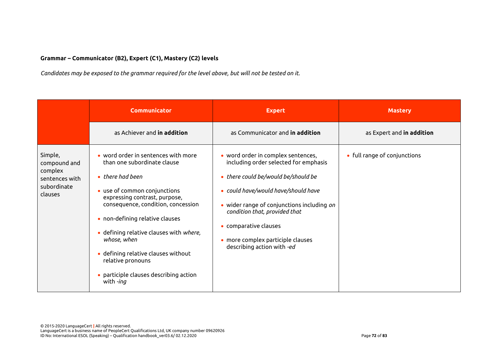#### **Grammar – Communicator (B2), Expert (C1), Mastery (C2) levels**

*Candidates may be exposed to the grammar required for the level above, but will not be tested on it.*

|                                                                                | <b>Communicator</b>                                                                                                                                                                                                                                                                                                                                                                                                   | <b>Expert</b>                                                                                                                                                                                                                                                                                                                        | <b>Mastery</b>               |
|--------------------------------------------------------------------------------|-----------------------------------------------------------------------------------------------------------------------------------------------------------------------------------------------------------------------------------------------------------------------------------------------------------------------------------------------------------------------------------------------------------------------|--------------------------------------------------------------------------------------------------------------------------------------------------------------------------------------------------------------------------------------------------------------------------------------------------------------------------------------|------------------------------|
|                                                                                | as Achiever and in addition                                                                                                                                                                                                                                                                                                                                                                                           | as Communicator and in addition                                                                                                                                                                                                                                                                                                      | as Expert and in addition    |
| Simple,<br>compound and<br>complex<br>sentences with<br>subordinate<br>clauses | • word order in sentences with more<br>than one subordinate clause<br>$\bullet$ there had been<br>• use of common conjunctions<br>expressing contrast, purpose,<br>consequence, condition, concession<br>• non-defining relative clauses<br>· defining relative clauses with where,<br>whose, when<br>· defining relative clauses without<br>relative pronouns<br>• participle clauses describing action<br>with -ing | • word order in complex sentences,<br>including order selected for emphasis<br>• there could be/would be/should be<br>• could have/would have/should have<br>• wider range of conjunctions including on<br>condition that, provided that<br>• comparative clauses<br>• more complex participle clauses<br>describing action with -ed | • full range of conjunctions |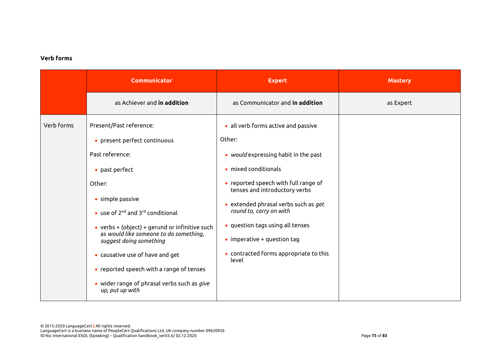#### **Verb forms**

|            | <b>Communicator</b>                                                                                                                                                                                                                                                                                                                                                                                                                                                        | <b>Expert</b>                                                                                                                                                                                                                                                                                                                                                                           | <b>Mastery</b> |
|------------|----------------------------------------------------------------------------------------------------------------------------------------------------------------------------------------------------------------------------------------------------------------------------------------------------------------------------------------------------------------------------------------------------------------------------------------------------------------------------|-----------------------------------------------------------------------------------------------------------------------------------------------------------------------------------------------------------------------------------------------------------------------------------------------------------------------------------------------------------------------------------------|----------------|
|            | as Achiever and in addition                                                                                                                                                                                                                                                                                                                                                                                                                                                | as Communicator and in addition                                                                                                                                                                                                                                                                                                                                                         | as Expert      |
| Verb forms | Present/Past reference:<br>• present perfect continuous<br>Past reference:<br>• past perfect<br>Other:<br>• simple passive<br>$\bullet$ use of 2 <sup>nd</sup> and 3 <sup>rd</sup> conditional<br>• verbs $+$ (object) $+$ gerund or infinitive such<br>as would like someone to do something,<br>suggest doing something<br>• causative use of have and get<br>• reported speech with a range of tenses<br>• wider range of phrasal verbs such as give<br>up, put up with | • all verb forms active and passive<br>Other:<br>• would expressing habit in the past<br>· mixed conditionals<br>• reported speech with full range of<br>tenses and introductory verbs<br>• extended phrasal verbs such as get<br>round to, carry on with<br>• question tags using all tenses<br>$\bullet$ imperative + question tag<br>• contracted forms appropriate to this<br>level |                |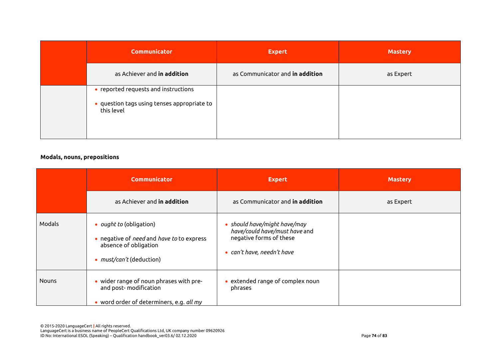| <b>Communicator</b>                                                                               | <b>Expert</b>                   | <b>Mastery</b> |
|---------------------------------------------------------------------------------------------------|---------------------------------|----------------|
| as Achiever and in addition                                                                       | as Communicator and in addition | as Expert      |
| • reported requests and instructions<br>· question tags using tenses appropriate to<br>this level |                                 |                |

#### **Modals, nouns, prepositions**

|              | <b>Communicator</b>                                                                                                                            | <b>Expert</b>                                                                                                      | <b>Mastery</b> |
|--------------|------------------------------------------------------------------------------------------------------------------------------------------------|--------------------------------------------------------------------------------------------------------------------|----------------|
|              | as Achiever and <b>in addition</b>                                                                                                             | as Communicator and <b>in addition</b>                                                                             | as Expert      |
| Modals       | • <i>ought to</i> (obligation)<br>• negative of <i>need</i> and <i>have to</i> to express<br>absence of obligation<br>• must/can't (deduction) | should have/might have/may<br>have/could have/must have and<br>negative forms of these<br>can't have, needn't have |                |
| <b>Nouns</b> | • wider range of noun phrases with pre-<br>and post-modification<br>• word order of determiners, e.g. all my                                   | extended range of complex noun<br>phrases                                                                          |                |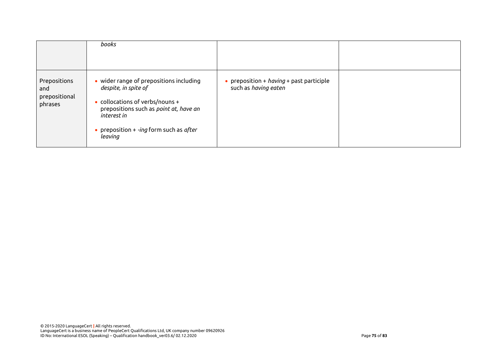|                                                 | books                                                                                                                                                                                                                       |                                                                    |  |
|-------------------------------------------------|-----------------------------------------------------------------------------------------------------------------------------------------------------------------------------------------------------------------------------|--------------------------------------------------------------------|--|
| Prepositions<br>and<br>prepositional<br>phrases | • wider range of prepositions including<br>despite, in spite of<br>$\bullet$ collocations of verbs/nouns +<br>prepositions such as point at, have an<br>interest in<br>• preposition $+$ -ing form such as after<br>leaving | • preposition + $having$ + past participle<br>such as having eaten |  |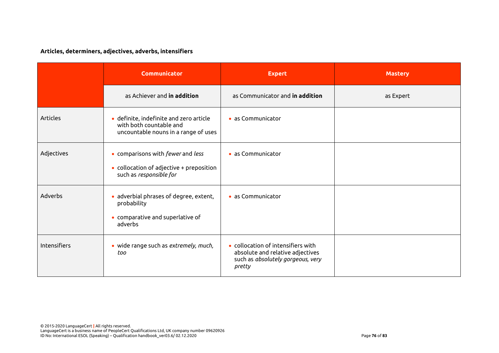## **Articles, determiners, adjectives, adverbs, intensifiers**

|                     | Communicator                                                                                                     | <b>Expert</b>                                                                                                         | <b>Mastery</b> |
|---------------------|------------------------------------------------------------------------------------------------------------------|-----------------------------------------------------------------------------------------------------------------------|----------------|
|                     | as Achiever and in addition                                                                                      | as Communicator and in addition                                                                                       | as Expert      |
| <b>Articles</b>     | · definite, indefinite and zero article<br>with both countable and<br>uncountable nouns in a range of uses       | • as Communicator                                                                                                     |                |
| Adjectives          | • comparisons with fewer and less<br>$\bullet$ collocation of adjective + preposition<br>such as responsible for | • as Communicator                                                                                                     |                |
| Adverbs             | adverbial phrases of degree, extent,<br>$\bullet$<br>probability<br>• comparative and superlative of<br>adverbs  | • as Communicator                                                                                                     |                |
| <b>Intensifiers</b> | · wide range such as extremely, much,<br>too                                                                     | • collocation of intensifiers with<br>absolute and relative adjectives<br>such as absolutely gorgeous, very<br>pretty |                |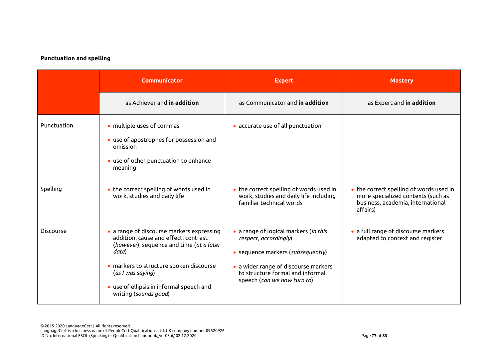#### **Punctuation and spelling**

|                  | <b>Communicator</b>                                                                                                                                                                                                                                                         | <b>Expert</b>                                                                                                                                                                                                  | <b>Mastery</b>                                                                                                                 |
|------------------|-----------------------------------------------------------------------------------------------------------------------------------------------------------------------------------------------------------------------------------------------------------------------------|----------------------------------------------------------------------------------------------------------------------------------------------------------------------------------------------------------------|--------------------------------------------------------------------------------------------------------------------------------|
|                  | as Achiever and in addition                                                                                                                                                                                                                                                 | as Communicator and in addition                                                                                                                                                                                | as Expert and in addition                                                                                                      |
| Punctuation      | • multiple uses of commas<br>• use of apostrophes for possession and<br>omission<br>• use of other punctuation to enhance<br>meaning                                                                                                                                        | • accurate use of all punctuation                                                                                                                                                                              |                                                                                                                                |
| Spelling         | • the correct spelling of words used in<br>work, studies and daily life                                                                                                                                                                                                     | • the correct spelling of words used in<br>work, studies and daily life including<br>familiar technical words                                                                                                  | • the correct spelling of words used in<br>more specialized contexts (such as<br>business, academia, international<br>affairs) |
| <b>Discourse</b> | • a range of discourse markers expressing<br>addition, cause and effect, contrast<br>(however), sequence and time (at a later<br>date)<br>• markers to structure spoken discourse<br>(as I was saying)<br>• use of ellipsis in informal speech and<br>writing (sounds good) | • a range of logical markers (in this<br>respect, accordingly)<br>• sequence markers (subsequently)<br>• a wider range of discourse markers<br>to structure formal and informal<br>speech (can we now turn to) | • a full range of discourse markers<br>adapted to context and register                                                         |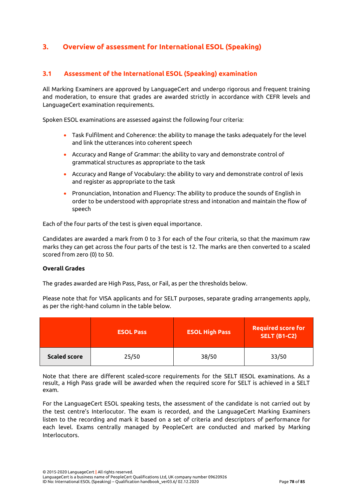## **3. Overview of assessment for International ESOL (Speaking)**

### **3.1 Assessment of the International ESOL (Speaking) examination**

All Marking Examiners are approved by LanguageCert and undergo rigorous and frequent training and moderation, to ensure that grades are awarded strictly in accordance with CEFR levels and LanguageCert examination requirements.

Spoken ESOL examinations are assessed against the following four criteria:

- Task Fulfilment and Coherence: the ability to manage the tasks adequately for the level and link the utterances into coherent speech
- Accuracy and Range of Grammar: the ability to vary and demonstrate control of grammatical structures as appropriate to the task
- Accuracy and Range of Vocabulary: the ability to vary and demonstrate control of lexis and register as appropriate to the task
- Pronunciation, Intonation and Fluency: The ability to produce the sounds of English in order to be understood with appropriate stress and intonation and maintain the flow of speech

Each of the four parts of the test is given equal importance.

Candidates are awarded a mark from 0 to 3 for each of the four criteria, so that the maximum raw marks they can get across the four parts of the test is 12. The marks are then converted to a scaled scored from zero (0) to 50.

#### **Overall Grades**

The grades awarded are High Pass, Pass, or Fail, as per the thresholds below.

Please note that for VISA applicants and for SELT purposes, separate grading arrangements apply, as per the right-hand column in the table below.

|                     | <b>ESOL Pass</b> | <b>ESOL High Pass</b> | <b>Required score for</b><br><b>SELT (B1-C2)</b> |
|---------------------|------------------|-----------------------|--------------------------------------------------|
| <b>Scaled score</b> | 25/50            | 38/50                 | 33/50                                            |

Note that there are different scaled-score requirements for the SELT IESOL examinations. As a result, a High Pass grade will be awarded when the required score for SELT is achieved in a SELT exam.

For the LanguageCert ESOL speaking tests, the assessment of the candidate is not carried out by the test centre's Interlocutor. The exam is recorded, and the LanguageCert Marking Examiners listen to the recording and mark it based on a set of criteria and descriptors of performance for each level. Exams centrally managed by PeopleCert are conducted and marked by Marking Interlocutors.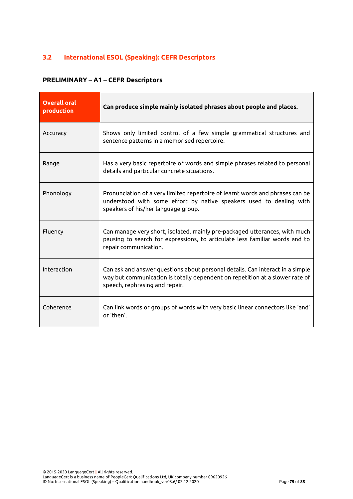## **3.2 International ESOL (Speaking): CEFR Descriptors**

#### **PRELIMINARY – A1 – CEFR Descriptors**

| <b>Overall oral</b><br>production | Can produce simple mainly isolated phrases about people and places.                                                                                                                             |
|-----------------------------------|-------------------------------------------------------------------------------------------------------------------------------------------------------------------------------------------------|
| Accuracy                          | Shows only limited control of a few simple grammatical structures and<br>sentence patterns in a memorised repertoire.                                                                           |
| Range                             | Has a very basic repertoire of words and simple phrases related to personal<br>details and particular concrete situations.                                                                      |
| Phonology                         | Pronunciation of a very limited repertoire of learnt words and phrases can be<br>understood with some effort by native speakers used to dealing with<br>speakers of his/her language group.     |
| Fluency                           | Can manage very short, isolated, mainly pre-packaged utterances, with much<br>pausing to search for expressions, to articulate less familiar words and to<br>repair communication.              |
| Interaction                       | Can ask and answer questions about personal details. Can interact in a simple<br>way but communication is totally dependent on repetition at a slower rate of<br>speech, rephrasing and repair. |
| Coherence                         | Can link words or groups of words with very basic linear connectors like 'and'<br>or 'then'.                                                                                                    |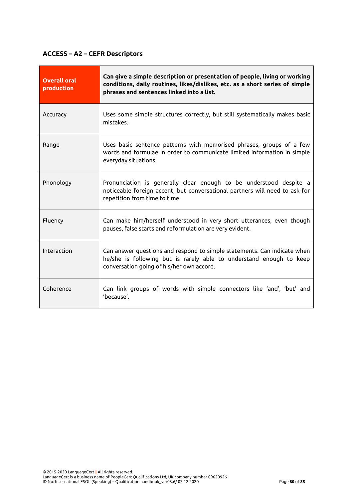## **ACCESS – A2 – CEFR Descriptors**

| <b>Overall oral</b><br>production | Can give a simple description or presentation of people, living or working<br>conditions, daily routines, likes/dislikes, etc. as a short series of simple<br>phrases and sentences linked into a list. |
|-----------------------------------|---------------------------------------------------------------------------------------------------------------------------------------------------------------------------------------------------------|
| Accuracy                          | Uses some simple structures correctly, but still systematically makes basic<br>mistakes.                                                                                                                |
| Range                             | Uses basic sentence patterns with memorised phrases, groups of a few<br>words and formulae in order to communicate limited information in simple<br>everyday situations.                                |
| Phonology                         | Pronunciation is generally clear enough to be understood despite a<br>noticeable foreign accent, but conversational partners will need to ask for<br>repetition from time to time.                      |
| Fluency                           | Can make him/herself understood in very short utterances, even though<br>pauses, false starts and reformulation are very evident.                                                                       |
| Interaction                       | Can answer questions and respond to simple statements. Can indicate when<br>he/she is following but is rarely able to understand enough to keep<br>conversation going of his/her own accord.            |
| Coherence                         | Can link groups of words with simple connectors like 'and', 'but' and<br>'because'.                                                                                                                     |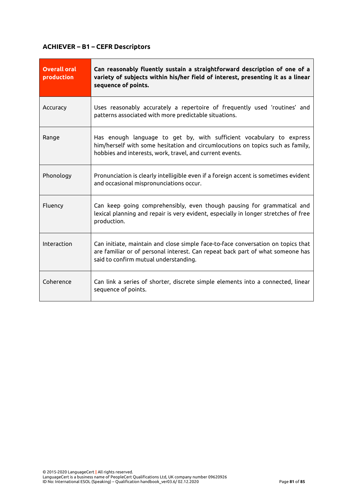## **ACHIEVER – B1 – CEFR Descriptors**

| <b>Overall oral</b><br>production | Can reasonably fluently sustain a straightforward description of one of a<br>variety of subjects within his/her field of interest, presenting it as a linear<br>sequence of points.                                |
|-----------------------------------|--------------------------------------------------------------------------------------------------------------------------------------------------------------------------------------------------------------------|
| Accuracy                          | Uses reasonably accurately a repertoire of frequently used 'routines' and<br>patterns associated with more predictable situations.                                                                                 |
| Range                             | Has enough language to get by, with sufficient vocabulary to express<br>him/herself with some hesitation and circumlocutions on topics such as family,<br>hobbies and interests, work, travel, and current events. |
| Phonology                         | Pronunciation is clearly intelligible even if a foreign accent is sometimes evident<br>and occasional mispronunciations occur.                                                                                     |
| Fluency                           | Can keep going comprehensibly, even though pausing for grammatical and<br>lexical planning and repair is very evident, especially in longer stretches of free<br>production.                                       |
| Interaction                       | Can initiate, maintain and close simple face-to-face conversation on topics that<br>are familiar or of personal interest. Can repeat back part of what someone has<br>said to confirm mutual understanding.        |
| Coherence                         | Can link a series of shorter, discrete simple elements into a connected, linear<br>sequence of points.                                                                                                             |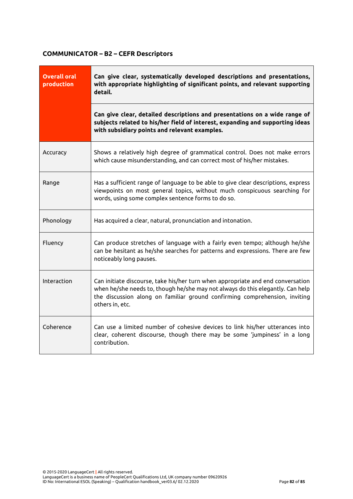## **COMMUNICATOR – B2 – CEFR Descriptors**

| <b>Overall oral</b><br>production | Can give clear, systematically developed descriptions and presentations,<br>with appropriate highlighting of significant points, and relevant supporting<br>detail.                                                                                                |  |
|-----------------------------------|--------------------------------------------------------------------------------------------------------------------------------------------------------------------------------------------------------------------------------------------------------------------|--|
|                                   | Can give clear, detailed descriptions and presentations on a wide range of<br>subjects related to his/her field of interest, expanding and supporting ideas<br>with subsidiary points and relevant examples.                                                       |  |
| Accuracy                          | Shows a relatively high degree of grammatical control. Does not make errors<br>which cause misunderstanding, and can correct most of his/her mistakes.                                                                                                             |  |
| Range                             | Has a sufficient range of language to be able to give clear descriptions, express<br>viewpoints on most general topics, without much conspicuous searching for<br>words, using some complex sentence forms to do so.                                               |  |
| Phonology                         | Has acquired a clear, natural, pronunciation and intonation.                                                                                                                                                                                                       |  |
| Fluency                           | Can produce stretches of language with a fairly even tempo; although he/she<br>can be hesitant as he/she searches for patterns and expressions. There are few<br>noticeably long pauses.                                                                           |  |
| Interaction                       | Can initiate discourse, take his/her turn when appropriate and end conversation<br>when he/she needs to, though he/she may not always do this elegantly. Can help<br>the discussion along on familiar ground confirming comprehension, inviting<br>others in, etc. |  |
| Coherence                         | Can use a limited number of cohesive devices to link his/her utterances into<br>clear, coherent discourse, though there may be some 'jumpiness' in a long<br>contribution.                                                                                         |  |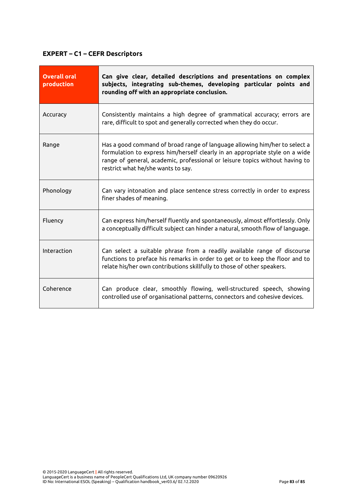# **EXPERT – C1 – CEFR Descriptors**

| <b>Overall oral</b><br>production | Can give clear, detailed descriptions and presentations on complex<br>subjects, integrating sub-themes, developing particular points and<br>rounding off with an appropriate conclusion.                                                                                         |  |
|-----------------------------------|----------------------------------------------------------------------------------------------------------------------------------------------------------------------------------------------------------------------------------------------------------------------------------|--|
| Accuracy                          | Consistently maintains a high degree of grammatical accuracy; errors are<br>rare, difficult to spot and generally corrected when they do occur.                                                                                                                                  |  |
| Range                             | Has a good command of broad range of language allowing him/her to select a<br>formulation to express him/herself clearly in an appropriate style on a wide<br>range of general, academic, professional or leisure topics without having to<br>restrict what he/she wants to say. |  |
| Phonology                         | Can vary intonation and place sentence stress correctly in order to express<br>finer shades of meaning.                                                                                                                                                                          |  |
| Fluency                           | Can express him/herself fluently and spontaneously, almost effortlessly. Only<br>a conceptually difficult subject can hinder a natural, smooth flow of language.                                                                                                                 |  |
| Interaction                       | Can select a suitable phrase from a readily available range of discourse<br>functions to preface his remarks in order to get or to keep the floor and to<br>relate his/her own contributions skillfully to those of other speakers.                                              |  |
| Coherence                         | Can produce clear, smoothly flowing, well-structured speech, showing<br>controlled use of organisational patterns, connectors and cohesive devices.                                                                                                                              |  |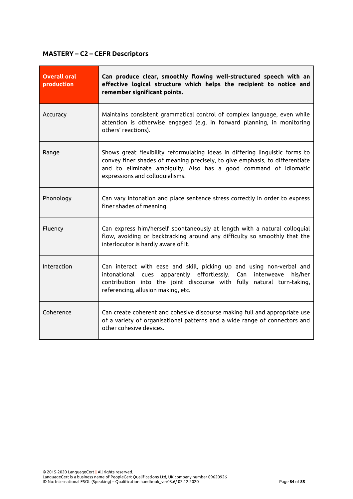## **MASTERY – C2 – CEFR Descriptors**

| <b>Overall oral</b><br>production | Can produce clear, smoothly flowing well-structured speech with an<br>effective logical structure which helps the recipient to notice and<br>remember significant points.                                                                                           |  |
|-----------------------------------|---------------------------------------------------------------------------------------------------------------------------------------------------------------------------------------------------------------------------------------------------------------------|--|
| Accuracy                          | Maintains consistent grammatical control of complex language, even while<br>attention is otherwise engaged (e.g. in forward planning, in monitoring<br>others' reactions).                                                                                          |  |
| Range                             | Shows great flexibility reformulating ideas in differing linguistic forms to<br>convey finer shades of meaning precisely, to give emphasis, to differentiate<br>and to eliminate ambiguity. Also has a good command of idiomatic<br>expressions and colloquialisms. |  |
| Phonology                         | Can vary intonation and place sentence stress correctly in order to express<br>finer shades of meaning.                                                                                                                                                             |  |
| Fluency                           | Can express him/herself spontaneously at length with a natural colloquial<br>flow, avoiding or backtracking around any difficulty so smoothly that the<br>interlocutor is hardly aware of it.                                                                       |  |
| Interaction                       | Can interact with ease and skill, picking up and using non-verbal and<br>intonational cues apparently effortlessly.<br>Can interweave<br>his/her<br>contribution into the joint discourse with fully natural turn-taking,<br>referencing, allusion making, etc.     |  |
| Coherence                         | Can create coherent and cohesive discourse making full and appropriate use<br>of a variety of organisational patterns and a wide range of connectors and<br>other cohesive devices.                                                                                 |  |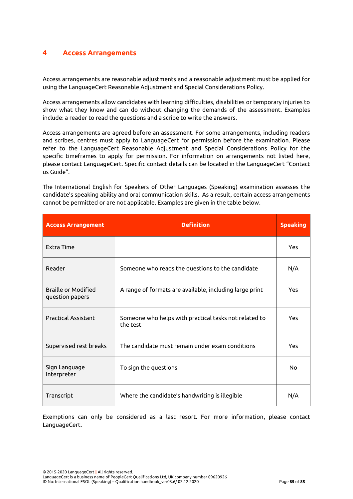#### **4 Access Arrangements**

Access arrangements are reasonable adjustments and a reasonable adjustment must be applied for using the LanguageCert Reasonable Adjustment and Special Considerations Policy.

Access arrangements allow candidates with learning difficulties, disabilities or temporary injuries to show what they know and can do without changing the demands of the assessment. Examples include: a reader to read the questions and a scribe to write the answers.

Access arrangements are agreed before an assessment. For some arrangements, including readers and scribes, centres must apply to LanguageCert for permission before the examination. Please refer to the LanguageCert Reasonable Adjustment and Special Considerations Policy for the specific timeframes to apply for permission. For information on arrangements not listed here, please contact LanguageCert. Specific contact details can be located in the LanguageCert "Contact us Guide".

The International English for Speakers of Other Languages (Speaking) examination assesses the candidate's speaking ability and oral communication skills. As a result, certain access arrangements cannot be permitted or are not applicable. Examples are given in the table below.

| <b>Access Arrangement</b>                     | <b>Definition</b>                                                 | <b>Speaking</b> |
|-----------------------------------------------|-------------------------------------------------------------------|-----------------|
| <b>Extra Time</b>                             |                                                                   | Yes             |
| Reader                                        | Someone who reads the questions to the candidate                  | N/A             |
| <b>Braille or Modified</b><br>question papers | A range of formats are available, including large print           | Yes             |
| <b>Practical Assistant</b>                    | Someone who helps with practical tasks not related to<br>the test | Yes             |
| Supervised rest breaks                        | The candidate must remain under exam conditions                   | Yes             |
| Sign Language<br>Interpreter                  | To sign the questions                                             | No              |
| Transcript                                    | Where the candidate's handwriting is illegible                    | N/A             |

Exemptions can only be considered as a last resort. For more information, please contact LanguageCert.